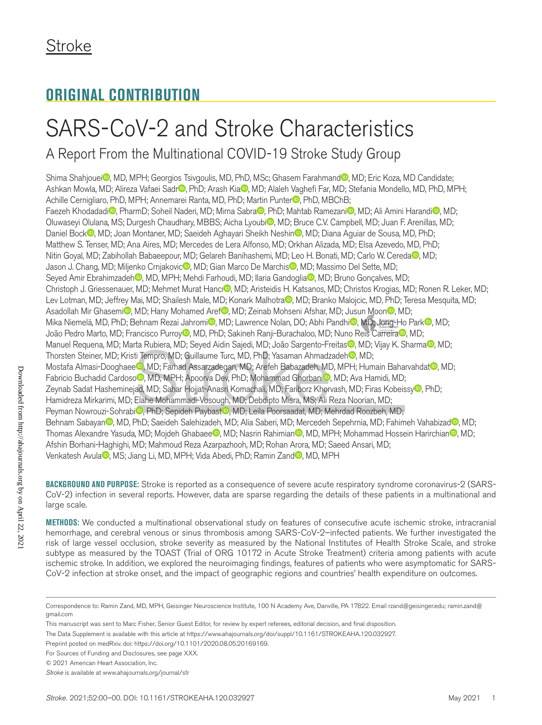## **ORIGINAL CONTRIBUTION**

# SARS-CoV-2 and Stroke Characteristics

A Report From the Multinational COVID-19 Stroke Study Group

Shima Shahjouei<sup>n</sup>, MD, MPH; Georgios Tsivgoulis, MD, PhD, MSc; Ghasem Farahmand<sup>n</sup>, MD; Eric Koza, MD Candidate; Ashkan Mowla, MD; Alireza Vafaei Sadr<sup>in</sup>, PhD; Arash Kia<sup>n</sup>, MD; Alaleh Vaghefi Far, MD; Stefania Mondello, MD, PhD, MPH; Achille Cernigliaro, PhD, MPH; Annemarei Ranta, MD, PhD; Martin Punter<sup>1</sup>, PhD, MBChB; Faezeh Khodadadi<sup>n</sup>, PharmD; Soheil Naderi, MD; Mirna Sabra , PhD; Mahtab Ramezani<sup>n</sup>, MD; Ali Amini Harandi<sup>n</sup>, MD; Oluwaseyi Olulana, MS; Durgesh Chaudhary, MBBS; Aicha Lyoubi<sup>o</sup>, MD; Bruce C.V. Campbell, MD; Juan F. Arenillas, MD; Daniel Bock<sup>on</sup>, MD; Joan Montaner, MD; Saeideh Aghayari Sheikh Neshin<sup>on</sup>, MD; Diana Aguiar de Sousa, MD, PhD; Matthew S. Tenser, MD; Ana Aires, MD; Mercedes de Lera Alfonso, MD; Orkhan Alizada, MD; Elsa Azevedo, MD, PhD; Nitin Goyal, MD; Zabihollah Babaeepour, MD; Gelareh Banihashemi, MD; Leo H. Bonati, MD; Carlo W. Cereda , MD; Jason J. Chang, MD; Miljenko Crnjakovic<sup>o</sup>, MD; Gian Marco De Marchis<sup>o</sup>, MD; Massimo Del Sette, MD; Seyed Amir Ebrahimzadeh , MD, MPH; Mehdi Farhoudi, MD; Ilaria Gandoglia , MD; Bruno Gonçalves, MD; Christoph J. Griessenauer, MD; Mehmet Murat Hancı<sup>n</sup>, MD; Aristeidis H. Katsanos, MD; Christos Krogias, MD; Ronen R. Leker, MD; Lev Lotman, MD; Jeffrey Mai, MD; Shailesh Male, MD; Konark Malhotra , MD; Branko Malojcic, MD, PhD; Teresa Mesquita, MD; Asadollah Mir Ghasemi<sup>n</sup>, MD; Hany Mohamed Aref<sup>o</sup>, MD; Zeinab Mohseni Afshar, MD; Jusun Moon<sup>o</sup>, MD; Mika Niemelä, MD, PhD; Behnam Rezai Jahromi<sup>n</sup>, MD; Lawrence Nolan, DO; Abhi Pandhi<sup>n</sup>, MD; Jong-Ho Park<sup>n</sup>, MD; João Pedro Marto, MD; Francisco Purroy<sup>io</sup>, MD, PhD; Sakineh Ranji-Burachaloo, MD; Nuno Reis Carreira<sup>no</sup>, MD; Manuel Requena, MD; Marta Rubiera, MD; Seyed Aidin Sajedi, MD; João Sargento-Freitas , MD; Vijay K. Sharma , MD; Thorsten Steiner, MD; Kristi Tempro, MD; Guillaume Turc, MD, PhD; Yasaman Ahmadzadeh , MD; Mostafa Almasi-Dooghaee<sup>n</sup>, MD; Farhad Assarzadegan, MD; Arefeh Babazadeh, MD, MPH; Humain Baharvahdat<sup>n</sup>, MD; Fabricio Buchadid Cardoso<sup>n</sup>, MD, MPH; Apoorva Dev, PhD; Mohammad Ghorbani<sup>n</sup>, MD; Ava Hamidi, MD; Zeynab Sadat Hasheminejad, MD; Sahar Hojjat-Anasri Komachali, MD; Fariborz Khorvash, MD; Firas Kobeissy®, PhD; Hamidreza Mirkarimi, MD; Elahe Mohammadi-Vosough, MD; Debdipto Misra, MS; Ali Reza Noorian, MD; Peyman Nowrouzi-Sohrabi<sup>o</sup>, PhD; Sepideh Paybast<sup>o</sup>, MD; Leila Poorsaadat, MD; Mehrdad Roozbeh, MD; Behnam Sabayan , MD, PhD; Saeideh Salehizadeh, MD; Alia Saberi, MD; Mercedeh Sepehrnia, MD; Fahimeh Vahabizad , MD; Thomas Alexandre Yasuda, MD; Mojdeh Ghabaee<sup>o</sup>, MD; Nasrin Rahimian<sup>o</sup>, MD, MPH; Mohammad Hossein Harirchian<sup>o</sup>, MD; Afshin Borhani-Haghighi, MD; Mahmoud Reza Azarpazhooh, MD; Rohan Arora, MD; Saeed Ansari, MD; Venkatesh Avula<sup>n</sup>, MS; Jiang Li, MD, MPH; Vida Abedi, PhD; Ramin Zand<sup>n</sup>, MD, MPH

**BACKGROUND AND PURPOSE:** Stroke is reported as a consequence of severe acute respiratory syndrome coronavirus-2 (SARS-CoV-2) infection in several reports. However, data are sparse regarding the details of these patients in a multinational and large scale.

**METHODS:** We conducted a multinational observational study on features of consecutive acute ischemic stroke, intracranial hemorrhage, and cerebral venous or sinus thrombosis among SARS-CoV-2–infected patients. We further investigated the risk of large vessel occlusion, stroke severity as measured by the National Institutes of Health Stroke Scale, and stroke subtype as measured by the TOAST (Trial of ORG 10172 in Acute Stroke Treatment) criteria among patients with acute ischemic stroke. In addition, we explored the neuroimaging findings, features of patients who were asymptomatic for SARS-CoV-2 infection at stroke onset, and the impact of geographic regions and countries' health expenditure on outcomes.

Correspondence to: Ramin Zand, MD, MPH, Geisinger Neuroscience Institute, 100 N Academy Ave, Danville, PA 17822. Email [rzand@geisinger.edu;](mailto:rzand@geisinger.edu) [ramin.zand@](mailto:ramin.zand@gmail.com) [gmail.com](mailto:ramin.zand@gmail.com)

This manuscript was sent to Marc Fisher, Senior Guest Editor, for review by expert referees, editorial decision, and final disposition.

The Data Supplement is available with this article at https://www.ahajournals.org/doi/suppl/10.1161/STROKEAHA.120.032927.

Preprint posted on medRxiv. doi: https://doi.org/10.1101/2020.08.05.20169169.

For Sources of Funding and Disclosures, see page XXX.

<sup>© 2021</sup> American Heart Association, Inc.

*Stroke* is available at www.ahajournals.org/journal/str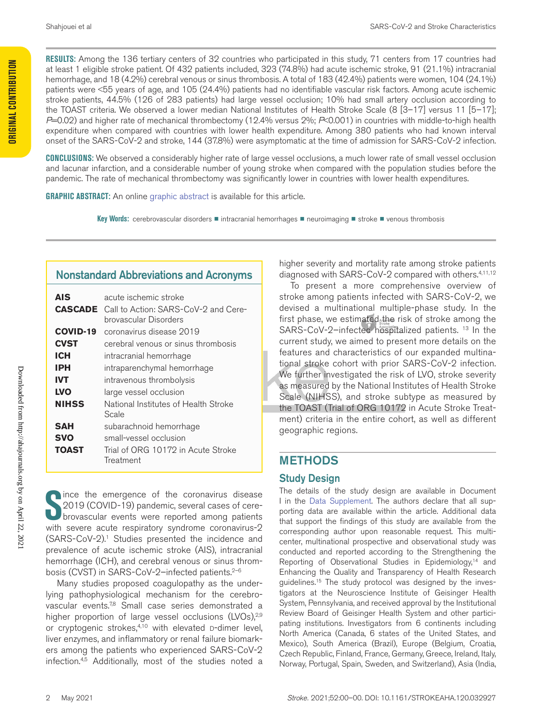**Original Contribution**

**ORIGINAL CONTRIBUTION** 

**RESULTS:** Among the 136 tertiary centers of 32 countries who participated in this study, 71 centers from 17 countries had at least 1 eligible stroke patient. Of 432 patients included, 323 (74.8%) had acute ischemic stroke, 91 (21.1%) intracranial hemorrhage, and 18 (4.2%) cerebral venous or sinus thrombosis. A total of 183 (42.4%) patients were women, 104 (24.1%) patients were <55 years of age, and 105 (24.4%) patients had no identifiable vascular risk factors. Among acute ischemic stroke patients, 44.5% (126 of 283 patients) had large vessel occlusion; 10% had small artery occlusion according to the TOAST criteria. We observed a lower median National Institutes of Health Stroke Scale (8 [3–17] versus 11 [5–17]; *P*=0.02) and higher rate of mechanical thrombectomy (12.4% versus 2%; *P*<0.001) in countries with middle-to-high health expenditure when compared with countries with lower health expenditure. Among 380 patients who had known interval onset of the SARS-CoV-2 and stroke, 144 (37.8%) were asymptomatic at the time of admission for SARS-CoV-2 infection.

**CONCLUSIONS:** We observed a considerably higher rate of large vessel occlusions, a much lower rate of small vessel occlusion and lacunar infarction, and a considerable number of young stroke when compared with the population studies before the pandemic. The rate of mechanical thrombectomy was significantly lower in countries with lower health expenditures.

**GRAPHIC ABSTRACT:** An online graphic abstract is available for this article.

Key Words: cerebrovascular disorders **■** intracranial hemorrhages ■ neuroimaging ■ stroke ■ venous thrombosis

#### Nonstandard Abbreviations and Acronyms

| <b>AIS</b>   | acute ischemic stroke                                                        |
|--------------|------------------------------------------------------------------------------|
|              | <b>CASCADE</b> Call to Action: SARS-CoV-2 and Cere-<br>brovascular Disorders |
| COVID-19     | coronavirus disease 2019                                                     |
| <b>CVST</b>  | cerebral venous or sinus thrombosis                                          |
| ICH          | intracranial hemorrhage                                                      |
| IPH          | intraparenchymal hemorrhage                                                  |
| <b>IVT</b>   | intravenous thrombolysis                                                     |
| <b>LVO</b>   | large vessel occlusion                                                       |
| <b>NIHSS</b> | National Institutes of Health Stroke<br>Scale                                |
| SAH          | subarachnoid hemorrhage                                                      |
| <b>SVO</b>   | small-vessel occlusion                                                       |
| <b>TOAST</b> | Trial of ORG 10172 in Acute Stroke<br>Treatment                              |

Downloaded from http://ahajournals.org by on April 22, 2021 Downloaded from http://ahajournals.org by on April 22, 2021

Since the emergence of the coronavirus disease<br>
2019 (COVID-19) pandemic, several cases of cere-<br>
browascular events were reported among patients<br>
with sovere severe respiratory syndrome coronavirus-2 2019 (COVID-19) pandemic, several cases of cerebrovascular events were reported among patients with severe acute respiratory syndrome coronavirus-2 (SARS-CoV-2).1 Studies presented the incidence and prevalence of acute ischemic stroke (AIS), intracranial hemorrhage (ICH), and cerebral venous or sinus thrombosis (CVST) in SARS-CoV-2-infected patients.<sup>2-6</sup>

Many studies proposed coagulopathy as the underlying pathophysiological mechanism for the cerebrovascular events.<sup>78</sup> Small case series demonstrated a higher proportion of large vessel occlusions (LVOs),<sup>2,9</sup> or cryptogenic strokes, $4,10$  with elevated p-dimer level, liver enzymes, and inflammatory or renal failure biomarkers among the patients who experienced SARS-CoV-2 infection.4,5 Additionally, most of the studies noted a higher severity and mortality rate among stroke patients diagnosed with SARS-CoV-2 compared with others.4,11,12

To present a more comprehensive overview of stroke among patients infected with SARS-CoV-2, we devised a multinational multiple-phase study. In the first phase, we estimated the risk of stroke among the SARS-CoV-2-infected hospitalized patients.<sup>13</sup> In the current study, we aimed to present more details on the features and characteristics of our expanded multinational stroke cohort with prior SARS-CoV-2 infection. We further investigated the risk of LVO, stroke severity as measured by the National Institutes of Health Stroke Scale (NIHSS), and stroke subtype as measured by the TOAST (Trial of ORG 10172 in Acute Stroke Treatment) criteria in the entire cohort, as well as different geographic regions.

#### METHODS

#### Study Design

The details of the study design are available in Document I in the Data Supplement. The authors declare that all supporting data are available within the article. Additional data that support the findings of this study are available from the corresponding author upon reasonable request. This multicenter, multinational prospective and observational study was conducted and reported according to the Strengthening the Reporting of Observational Studies in Epidemiology,<sup>14</sup> and Enhancing the Quality and Transparency of Health Research guidelines.15 The study protocol was designed by the investigators at the Neuroscience Institute of Geisinger Health System, Pennsylvania, and received approval by the Institutional Review Board of Geisinger Health System and other participating institutions. Investigators from 6 continents including North America (Canada, 6 states of the United States, and Mexico), South America (Brazil), Europe (Belgium, Croatia, Czech Republic, Finland, France, Germany, Greece, Ireland, Italy, Norway, Portugal, Spain, Sweden, and Switzerland), Asia (India,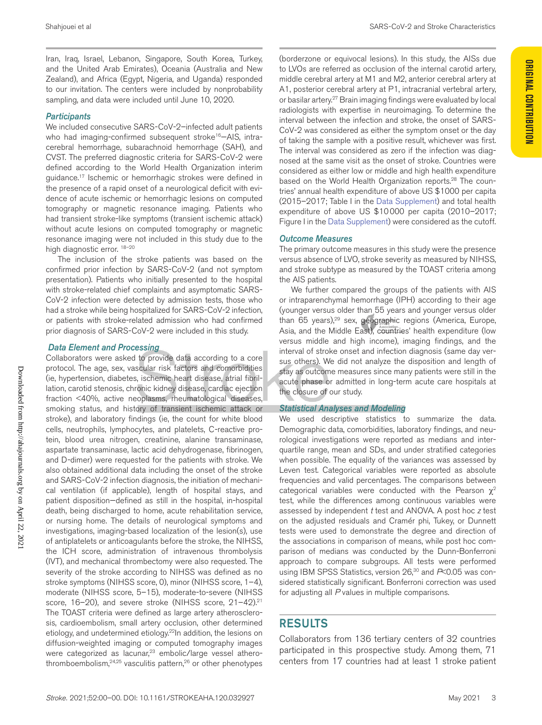#### *Participants*

We included consecutive SARS-CoV-2-infected adult patients who had imaging-confirmed subsequent stroke<sup>16</sup>–AIS, intracerebral hemorrhage, subarachnoid hemorrhage (SAH), and CVST. The preferred diagnostic criteria for SARS-CoV-2 were defined according to the World Health Organization interim guidance.17 Ischemic or hemorrhagic strokes were defined in the presence of a rapid onset of a neurological deficit with evidence of acute ischemic or hemorrhagic lesions on computed tomography or magnetic resonance imaging. Patients who had transient stroke-like symptoms (transient ischemic attack) without acute lesions on computed tomography or magnetic resonance imaging were not included in this study due to the high diagnostic error. <sup>18-20</sup>

The inclusion of the stroke patients was based on the confirmed prior infection by SARS-CoV-2 (and not symptom presentation). Patients who initially presented to the hospital with stroke-related chief complaints and asymptomatic SARS-CoV-2 infection were detected by admission tests, those who had a stroke while being hospitalized for SARS-CoV-2 infection, or patients with stroke-related admission who had confirmed prior diagnosis of SARS-CoV-2 were included in this study.

#### *Data Element and Processing*

Collaborators were asked to provide data according to a core protocol. The age, sex, vascular risk factors and comorbidities (ie, hypertension, diabetes, ischemic heart disease, atrial fibrillation, carotid stenosis, chronic kidney disease, cardiac ejection fraction <40%, active neoplasms, rheumatological diseases, smoking status, and history of transient ischemic attack or stroke), and laboratory findings (ie, the count for white blood cells, neutrophils, lymphocytes, and platelets, C-reactive protein, blood urea nitrogen, creatinine, alanine transaminase, aspartate transaminase, lactic acid dehydrogenase, fibrinogen, and D-dimer) were requested for the patients with stroke. We also obtained additional data including the onset of the stroke and SARS-CoV-2 infection diagnosis, the initiation of mechanical ventilation (if applicable), length of hospital stays, and patient disposition—defined as still in the hospital, in-hospital death, being discharged to home, acute rehabilitation service, or nursing home. The details of neurological symptoms and investigations, imaging-based localization of the lesion(s), use of antiplatelets or anticoagulants before the stroke, the NIHSS, the ICH score, administration of intravenous thrombolysis (IVT), and mechanical thrombectomy were also requested. The severity of the stroke according to NIHSS was defined as no stroke symptoms (NIHSS score, 0), minor (NIHSS score, 1–4), moderate (NIHSS score, 5–15), moderate-to-severe (NIHSS score, 16–20), and severe stroke (NIHSS score, 21–42).<sup>21</sup> The TOAST criteria were defined as large artery atherosclerosis, cardioembolism, small artery occlusion, other determined etiology, and undetermined etiology.<sup>22</sup>In addition, the lesions on diffusion-weighted imaging or computed tomography images were categorized as lacunar,<sup>23</sup> embolic/large vessel atherothromboembolism,<sup>24,25</sup> vasculitis pattern,<sup>26</sup> or other phenotypes

(borderzone or equivocal lesions). In this study, the AISs due to LVOs are referred as occlusion of the internal carotid artery, middle cerebral artery at M1 and M2, anterior cerebral artery at A1, posterior cerebral artery at P1, intracranial vertebral artery, or basilar artery.27 Brain imaging findings were evaluated by local radiologists with expertise in neuroimaging. To determine the interval between the infection and stroke, the onset of SARS-CoV-2 was considered as either the symptom onset or the day of taking the sample with a positive result, whichever was first. The interval was considered as zero if the infection was diagnosed at the same visit as the onset of stroke. Countries were considered as either low or middle and high health expenditure based on the World Health Organization reports.<sup>28</sup> The countries' annual health expenditure of above US \$1000 per capita (2015–2017; Table I in the Data Supplement) and total health expenditure of above US \$10000 per capita (2010–2017; Figure I in the Data Supplement) were considered as the cutoff.

#### *Outcome Measures*

The primary outcome measures in this study were the presence versus absence of LVO, stroke severity as measured by NIHSS, and stroke subtype as measured by the TOAST criteria among the AIS patients.

We further compared the groups of the patients with AIS or intraparenchymal hemorrhage (IPH) according to their age (younger versus older than 55 years and younger versus older than 65 years),<sup>29</sup> sex, geographic regions (America, Europe, Asia, and the Middle East), countries' health expenditure (low versus middle and high income), imaging findings, and the interval of stroke onset and infection diagnosis (same day versus others). We did not analyze the disposition and length of stay as outcome measures since many patients were still in the acute phase or admitted in long-term acute care hospitals at the closure of our study.

#### *Statistical Analyses and Modeling*

We used descriptive statistics to summarize the data. Demographic data, comorbidities, laboratory findings, and neurological investigations were reported as medians and interquartile range, mean and SDs, and under stratified categories when possible. The equality of the variances was assessed by Leven test. Categorical variables were reported as absolute frequencies and valid percentages. The comparisons between categorical variables were conducted with the Pearson  $\chi^2$ test, while the differences among continuous variables were assessed by independent *t* test and ANOVA. A post hoc *z* test on the adjusted residuals and Cramér phi, Tukey, or Dunnett tests were used to demonstrate the degree and direction of the associations in comparison of means, while post hoc comparison of medians was conducted by the Dunn-Bonferroni approach to compare subgroups. All tests were performed using IBM SPSS Statistics, version 26,<sup>30</sup> and *P*<0.05 was considered statistically significant. Bonferroni correction was used for adjusting all *P* values in multiple comparisons.

#### RESULTS

Collaborators from 136 tertiary centers of 32 countries participated in this prospective study. Among them, 71 centers from 17 countries had at least 1 stroke patient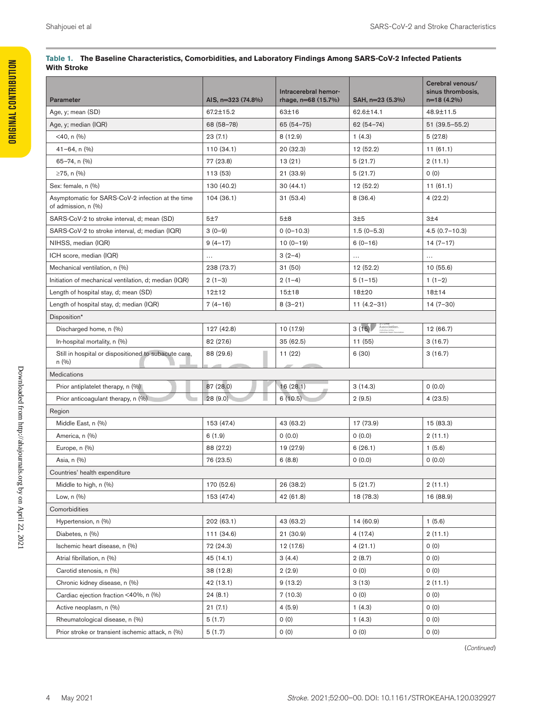| Parameter                                                                | AIS, n=323 (74.8%) | Intracerebral hemor-<br>rhage, n=68 (15.7%) | SAH, n=23 (5.3%)      | Cerebral venous/<br>sinus thrombosis,<br>$n=18(4.2%)$ |
|--------------------------------------------------------------------------|--------------------|---------------------------------------------|-----------------------|-------------------------------------------------------|
| Age, y; mean (SD)                                                        | 67.2±15.2          | 63±16                                       | 62.6±14.1             | 48.9±11.5                                             |
| Age, y; median (IQR)                                                     | 68 (58-78)         | $65(54-75)$                                 | $62(54 - 74)$         | $51(39.5 - 55.2)$                                     |
| <40, n (%)                                                               | 23(7.1)            | 8 (12.9)                                    | 1(4.3)                | 5(27.8)                                               |
| $41 - 64$ , n $(\%)$                                                     | 110(34.1)          | 20 (32.3)                                   | 12 (52.2)             | 11(61.1)                                              |
| $65 - 74$ , n $(\%)$                                                     | 77 (23.8)          | 13(21)                                      | 5(21.7)               | 2(11.1)                                               |
| ≥75, n $(%)$                                                             | 113 (53)           | 21 (33.9)                                   | 5(21.7)               | 0(0)                                                  |
| Sex: female, n (%)                                                       | 130 (40.2)         | 30(44.1)                                    | 12 (52.2)             | 11(61.1)                                              |
| Asymptomatic for SARS-CoV-2 infection at the time<br>of admission, n (%) | 104(36.1)          | 31 (53.4)                                   | 8(36.4)               | 4(22.2)                                               |
| SARS-CoV-2 to stroke interval, d; mean (SD)                              | 5±7                | 5±8                                         | 3±5                   | 3±4                                                   |
| SARS-CoV-2 to stroke interval, d; median (IQR)                           | $3(0-9)$           | $0(0-10.3)$                                 | $1.5(0-5.3)$          | $4.5(0.7 - 10.3)$                                     |
| NIHSS, median (IQR)                                                      | $9(4-17)$          | $10(0-19)$                                  | $6(0-16)$             | $14(7-17)$                                            |
| ICH score, median (IQR)                                                  | $\cdots$           | $3(2-4)$                                    | $\ldots$              | $\ldots$                                              |
| Mechanical ventilation, n (%)                                            | 238 (73.7)         | 31(50)                                      | 12 (52.2)             | 10(55.6)                                              |
| Initiation of mechanical ventilation, d; median (IQR)                    | $2(1-3)$           | $2(1-4)$                                    | $5(1-15)$             | $1(1-2)$                                              |
| Length of hospital stay, d; mean (SD)                                    | 12±12              | 15±18                                       | 18±20                 | 18±14                                                 |
| Length of hospital stay, d; median (IQR)                                 | $7(4-16)$          | $8(3-21)$                                   | $11(4.2 - 31)$        | $14(7-30)$                                            |
| Disposition*                                                             |                    |                                             |                       |                                                       |
| Discharged home, n (%)                                                   | 127 (42.8)         | 10 (17.9)                                   | Association.<br>3(15) | 12 (66.7)                                             |
| In-hospital mortality, n (%)                                             | 82 (27.6)          | 35 (62.5)                                   | 11 (55)               | 3(16.7)                                               |
| Still in hospital or dispositioned to subacute care,<br>n(%)             | 88 (29.6)          | 11(22)                                      | 6(30)                 | 3(16.7)                                               |
| Medications                                                              |                    |                                             |                       |                                                       |
| Prior antiplatelet therapy, n (%)                                        | 87 (28.0)          | 16(28.1)                                    | 3(14.3)               | 0(0.0)                                                |
| Prior anticoagulant therapy, n (%)                                       | 28(9.0)            | 6(10.5)                                     | 2(9.5)                | 4(23.5)                                               |
| Region                                                                   |                    |                                             |                       |                                                       |
| Middle East, n (%)                                                       | 153 (47.4)         | 43 (63.2)                                   | 17 (73.9)             | 15 (83.3)                                             |
| America, n (%)                                                           | 6(1.9)             | 0(0.0)                                      | 0(0.0)                | 2(11.1)                                               |
| Europe, n (%)                                                            | 88 (27.2)          | 19 (27.9)                                   | 6(26.1)               | 1(5.6)                                                |
| Asia, n (%)                                                              | 76 (23.5)          | 6(8.8)                                      | 0(0.0)                | 0(0.0)                                                |
| Countries' health expenditure                                            |                    |                                             |                       |                                                       |
| Middle to high, n (%)                                                    | 170 (52.6)         | 26 (38.2)                                   | 5(21.7)               | 2(11.1)                                               |
| Low, $n(%$                                                               | 153 (47.4)         | 42 (61.8)                                   | 18 (78.3)             | 16 (88.9)                                             |
| Comorbidities                                                            |                    |                                             |                       |                                                       |
| Hypertension, n (%)                                                      | 202 (63.1)         | 43 (63.2)                                   | 14 (60.9)             | 1(5.6)                                                |
| Diabetes, n (%)                                                          | 111 (34.6)         | 21(30.9)                                    | 4 (17.4)              | 2(11.1)                                               |
| Ischemic heart disease, n (%)                                            | 72 (24.3)          | 12 (17.6)                                   | 4(21.1)               | 0(0)                                                  |
| Atrial fibrillation, n (%)                                               | 45 (14.1)          | 3(4.4)                                      | 2(8.7)                | 0(0)                                                  |
| Carotid stenosis, n (%)                                                  | 38 (12.8)          | 2(2.9)                                      | 0(0)                  | 0(0)                                                  |
| Chronic kidney disease, n (%)                                            | 42 (13.1)          | 9(13.2)                                     | 3(13)                 | 2(11.1)                                               |
| Cardiac ejection fraction <40%, n (%)                                    | 24(8.1)            | 7(10.3)                                     | 0(0)                  | 0(0)                                                  |
| Active neoplasm, n (%)                                                   | 21(7.1)            | 4(5.9)                                      | 1(4.3)                | 0(0)                                                  |
| Rheumatological disease, n (%)                                           | 5(1.7)             | 0(0)                                        | 1(4.3)                | 0(0)                                                  |
| Prior stroke or transient ischemic attack, n (%)                         | 5(1.7)             | 0(0)                                        | 0(0)                  | 0(0)                                                  |

#### **Table 1. The Baseline Characteristics, Comorbidities, and Laboratory Findings Among SARS-CoV-2 Infected Patients With Stroke**

(*Continued* )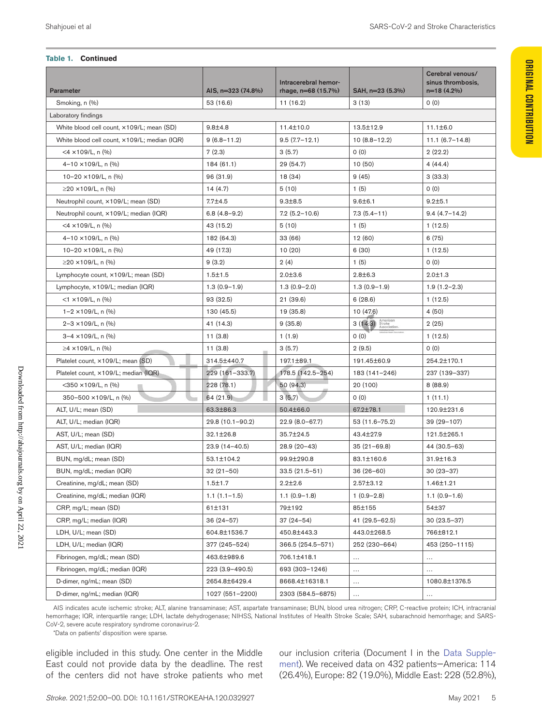**Original Contribution**

*ORIGINAL CONTRIBUTION* 

#### **Table 1. Continued**

| <b>Parameter</b>                             | AIS, n=323 (74.8%)  | Intracerebral hemor-<br>rhage, n=68 (15.7%) | SAH, n=23 (5.3%)                  | Cerebral venous/<br>sinus thrombosis.<br>$n=18(4.2\%)$ |
|----------------------------------------------|---------------------|---------------------------------------------|-----------------------------------|--------------------------------------------------------|
| Smoking, n (%)                               | 53 (16.6)           | 11(16.2)                                    | 3(13)                             | 0(0)                                                   |
| Laboratory findings                          |                     |                                             |                                   |                                                        |
| White blood cell count, ×109/L; mean (SD)    | $9.8 + 4.8$         | 11.4±10.0                                   | 13.5±12.9                         | $11.1 \pm 6.0$                                         |
| White blood cell count, ×109/L; median (IQR) | $9(6.8 - 11.2)$     | $9.5(7.7 - 12.1)$                           | $10(8.8-12.2)$                    | $11.1(6.7-14.8)$                                       |
| $<$ 4 $\times$ 109/L, n (%)                  | 7(2.3)              | 3(5.7)                                      | 0(0)                              | 2(22.2)                                                |
| $4-10 \times 109/L$ , n $(\% )$              | 184 (61.1)          | 29 (54.7)                                   | 10(50)                            | 4(44.4)                                                |
| 10-20 ×109/L, n (%)                          | 96 (31.9)           | 18 (34)                                     | 9(45)                             | 3(33.3)                                                |
| $≥$ 20 ×109/L, n (%)                         | 14(4.7)             | 5(10)                                       | 1(5)                              | 0(0)                                                   |
| Neutrophil count, ×109/L; mean (SD)          | $7.7 + 4.5$         | $9.3 + 8.5$                                 | $9.6 \pm 6.1$                     | $9.2 + 5.1$                                            |
| Neutrophil count, ×109/L; median (IQR)       | $6.8(4.8-9.2)$      | $7.2(5.2 - 10.6)$                           | $7.3(5.4-11)$                     | $9.4(4.7 - 14.2)$                                      |
| $<$ 4 $\times$ 109/L, n (%)                  | 43 (15.2)           | 5(10)                                       | 1(5)                              | 1(12.5)                                                |
| $4-10 \times 109/L$ , n (%)                  | 182 (64.3)          | 33 (66)                                     | 12 (60)                           | 6(75)                                                  |
| 10-20 ×109/L, n (%)                          | 49 (17.3)           | 10(20)                                      | 6(30)                             | 1(12.5)                                                |
| ≥20 ×109/L, n $(\%)$                         | 9(3.2)              | 2(4)                                        | 1(5)                              | 0(0)                                                   |
| Lymphocyte count, ×109/L; mean (SD)          | $1.5 + 1.5$         | $2.0 + 3.6$                                 | $2.8 \pm 6.3$                     | $2.0 + 1.3$                                            |
| Lymphocyte, $\times$ 109/L; median (IQR)     | $1.3(0.9-1.9)$      | $1.3(0.9-2.0)$                              | $1.3(0.9-1.9)$                    | $1.9(1.2 - 2.3)$                                       |
| $<$ 1 $\times$ 109/L, n (%)                  | 93 (32.5)           | 21(39.6)                                    | 6(28.6)                           | 1(12.5)                                                |
| $1 - 2 \times 109/L$ , n $(\% )$             | 130 (45.5)          | 19 (35.8)                                   | 10 (47.6)                         | 4 (50)                                                 |
| $2 - 3 \times 109/L$ , n (%)                 | 41 (14.3)           | 9(35.8)                                     | $3(14.3)$ American<br>Association | 2(25)                                                  |
| 3-4 ×109/L, n (%)                            | 11(3.8)             | 1(1.9)                                      | 0(0)                              | 1(12.5)                                                |
| ≥4 ×109/L, n $(%)$                           | 11(3.8)             | 3(5.7)                                      | 2(9.5)                            | 0(0)                                                   |
| Platelet count, ×109/L; mean (SD)            | 314.5±440.7         | 197.1±89.1                                  | 191.45±60.9                       | 254.2±170.1                                            |
| Platelet count, ×109/L; median (IQR)         | 229 (161-333.7)     | 178.5 (142.5-254)                           | 183 (141-246)                     | 237 (139-337)                                          |
| $<$ 350 $\times$ 109/L, n (%)                | 228(78.1)           | 50(94.3)                                    | 20 (100)                          | 8 (88.9)                                               |
| 350-500 ×109/L, n (%)                        | 64(21.9)            | 3(5.7)                                      | 0(0)                              | 1(11.1)                                                |
| ALT, U/L; mean (SD)                          | 63.3±86.3           | 50.4±66.0                                   | 67.2±78.1                         | 120.9±231.6                                            |
| ALT, U/L; median (IQR)                       | $29.8(10.1 - 90.2)$ | $22.9(8.0 - 67.7)$                          | $53(11.6 - 75.2)$                 | 39 (29 – 107)                                          |
| AST, U/L; mean (SD)                          | 32.1±26.8           | 35.7±24.5                                   | 43.4±27.9                         | 121.5±265.1                                            |
| AST, U/L; median (IQR)                       | $23.9(14 - 40.5)$   | $28.9(20-43)$                               | $35(21 - 69.8)$                   | 44 (30.5-63)                                           |
| BUN, mg/dL; mean (SD)                        | 53.1±104.2          | 99.9±290.8                                  | 83.1±160.6                        | 31.9±16.3                                              |
| BUN, mg/dL; median (IQR)                     | $32(21-50)$         | $33.5(21.5-51)$                             | $36(26-60)$                       | $30(23-37)$                                            |
| Creatinine, mg/dL; mean (SD)                 | $1.5 + 1.7$         | $2.2 + 2.6$                                 | 2.57±3.12                         | 1.46±1.21                                              |
| Creatinine, mg/dL; median (IQR)              | $1.1(1.1-1.5)$      | $1.1(0.9-1.8)$                              | $1(0.9-2.8)$                      | $1.1(0.9-1.6)$                                         |
| CRP, mg/L; mean (SD)                         | 61±131              | 79±192                                      | 85±155                            | 54±37                                                  |
| CRP, mg/L; median (IQR)                      | 36 (24-57)          | $37(24-54)$                                 | $41(29.5-62.5)$                   | 30 (23.5-37)                                           |
| LDH, U/L; mean (SD)                          | 604.8±1536.7        | 450.8±443.3                                 | 443.0±268.5                       | 766±812.1                                              |
| LDH, U/L; median (IQR)                       | 377 (245–524)       | 366.5 (254.5-571)                           | 252 (230-664)                     | 453 (250-1115)                                         |
| Fibrinogen, mg/dL; mean (SD)                 | 463.6±989.6         | 706.1±418.1                                 |                                   |                                                        |
| Fibrinogen, mg/dL; median (IQR)              | 223 (3.9-490.5)     | 693 (303-1246)                              | $\cdots$                          | .                                                      |
| D-dimer, ng/mL; mean (SD)                    | 2654.8±6429.4       | 8668.4±16318.1                              | $\cdots$                          | 1080.8±1376.5                                          |
| D-dimer, ng/mL; median (IQR)                 | 1027 (551-2200)     | 2303 (584.5-6875)                           | $\cdots$                          | $\cdots$                                               |

AIS indicates acute ischemic stroke; ALT, alanine transaminase; AST, aspartate transaminase; BUN, blood urea nitrogen; CRP, C-reactive protein; ICH, intracranial hemorrhage; IQR, interquartile range; LDH, lactate dehydrogenase; NIHSS, National Institutes of Health Stroke Scale; SAH, subarachnoid hemorrhage; and SARS-CoV-2, severe acute respiratory syndrome coronavirus-2.

\*Data on patients' disposition were sparse.

eligible included in this study. One center in the Middle East could not provide data by the deadline. The rest of the centers did not have stroke patients who met our inclusion criteria (Document I in the Data Supplement). We received data on 432 patients—America: 114 (26.4%), Europe: 82 (19.0%), Middle East: 228 (52.8%),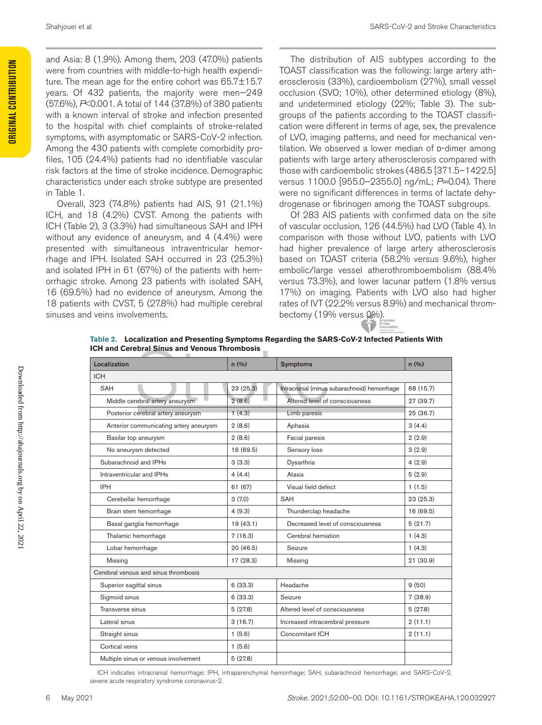and Asia: 8 (1.9%). Among them, 203 (47.0%) patients were from countries with middle-to-high health expenditure. The mean age for the entire cohort was 65.7±15.7 years. Of 432 patients, the majority were men—249 (57.6%), *P*<0.001. A total of 144 (37.8%) of 380 patients with a known interval of stroke and infection presented to the hospital with chief complaints of stroke-related symptoms, with asymptomatic or SARS-CoV-2 infection. Among the 430 patients with complete comorbidity profiles, 105 (24.4%) patients had no identifiable vascular risk factors at the time of stroke incidence. Demographic characteristics under each stroke subtype are presented in Table 1.

Overall, 323 (74.8%) patients had AIS, 91 (21.1%) ICH, and 18 (4.2%) CVST. Among the patients with ICH (Table 2), 3 (3.3%) had simultaneous SAH and IPH without any evidence of aneurysm, and 4 (4.4%) were presented with simultaneous intraventricular hemorrhage and IPH. Isolated SAH occurred in 23 (25.3%) and isolated IPH in 61 (67%) of the patients with hemorrhagic stroke. Among 23 patients with isolated SAH, 16 (69.5%) had no evidence of aneurysm. Among the 18 patients with CVST, 5 (27.8%) had multiple cerebral sinuses and veins involvements.

The distribution of AIS subtypes according to the TOAST classification was the following: large artery atherosclerosis (33%), cardioembolism (27%), small vessel occlusion (SVO; 10%), other determined etiology (8%), and undetermined etiology (22%; Table 3). The subgroups of the patients according to the TOAST classification were different in terms of age, sex, the prevalence of LVO, imaging patterns, and need for mechanical ventilation. We observed a lower median of D-dimer among patients with large artery atherosclerosis compared with those with cardioembolic strokes (486.5 [371.5–1422.5] versus 1100.0 [955.0–2355.0] ng/mL; *P*=0.04). There were no significant differences in terms of lactate dehydrogenase or fibrinogen among the TOAST subgroups.

Of 283 AIS patients with confirmed data on the site of vascular occlusion, 126 (44.5%) had LVO (Table 4). In comparison with those without LVO, patients with LVO had higher prevalence of large artery atherosclerosis based on TOAST criteria (58.2% versus 9.6%), higher embolic/large vessel atherothromboembolism (88.4% versus 73.3%), and lower lacunar pattern (1.8% versus 17%) on imaging. Patients with LVO also had higher rates of IVT (22.2% versus 8.9%) and mechanical thrombectomy (19% versus 0%).



| Table 2. Localization and Presenting Symptoms Regarding the SARS-CoV-2 Infected Patients With |
|-----------------------------------------------------------------------------------------------|
| <b>ICH and Cerebral Sinus and Venous Thrombosis</b>                                           |

| Localization                           | n(96)     | <b>Symptoms</b>                              | n(9/0)    |
|----------------------------------------|-----------|----------------------------------------------|-----------|
| <b>ICH</b>                             |           |                                              |           |
| SAH                                    | 23(25.3)  | Intracranial (minus subarachnoid) hemorrhage | 68 (15.7) |
| Middle cerebral artery aneurysm        | 2(8.6)    | Altered level of consciousness               | 27 (39.7) |
| Posterior cerebral artery aneurysm     | 1(4.3)    | Limb paresis                                 | 25 (36.7) |
| Anterior communicating artery aneurysm | 2(8.6)    | Aphasia                                      | 3(4.4)    |
| Basilar top aneurysm                   | 2(8.6)    | Facial paresis                               | 2(2.9)    |
| No aneurysm detected                   | 16 (69.5) | Sensory loss                                 | 3(2.9)    |
| Subarachnoid and IPHs                  | 3(3.3)    | Dysarthria                                   | 4(2.9)    |
| Intraventricular and IPHs              | 4(4.4)    | Ataxia                                       | 5(2.9)    |
| <b>IPH</b>                             | 61 (67)   | Visual field defect                          | 1(1.5)    |
| Cerebellar hemorrhage                  | 3(7.0)    | SAH                                          | 23 (25.3) |
| Brain stem hemorrhage                  | 4(9.3)    | Thunderclap headache                         | 16 (69.5) |
| Basal ganglia hemorrhage               | 19(43.1)  | Decreased level of consciousness             | 5(21.7)   |
| Thalamic hemorrhage                    | 7(16.3)   | Cerebral herniation                          | 1(4.3)    |
| Lobar hemorrhage                       | 20 (46.5) | Seizure                                      | 1(4.3)    |
| Missing                                | 17 (28.3) | Missing                                      | 21(30.9)  |
| Cerebral venous and sinus thrombosis   |           |                                              |           |
| Superior sagittal sinus                | 6(33.3)   | Headache                                     | 9(50)     |
| Sigmoid sinus                          | 6(33.3)   | Seizure                                      | 7(38.9)   |
| Transverse sinus                       | 5(27.8)   | Altered level of consciousness               | 5(27.8)   |
| Lateral sinus                          | 3(16.7)   | Increased intracerebral pressure             | 2(11.1)   |
| Straight sinus                         | 1(5.6)    | Concomitant ICH                              | 2(11.1)   |
| Cortical veins                         | 1(5.6)    |                                              |           |
| Multiple sinus or venous involvement   | 5(27.8)   |                                              |           |

ICH indicates intracranial hemorrhage; IPH, intraparenchymal hemorrhage; SAH, subarachnoid hemorrhage; and SARS-CoV-2, severe acute respiratory syndrome coronavirus-2.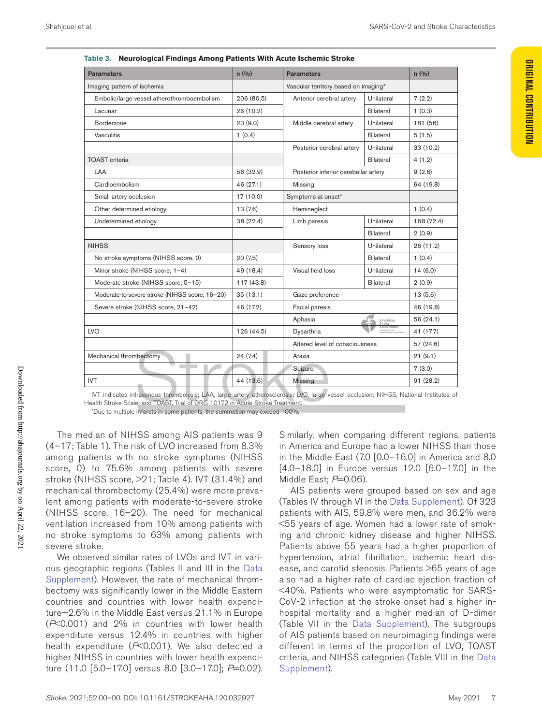**Original Contribution**

**ORIGINAL CONTRIBUTION** 

| <b>Parameters</b>                              | n(9/0)     | <b>Parameters</b>                    |                  | n(96)      |
|------------------------------------------------|------------|--------------------------------------|------------------|------------|
| Imaging pattern of ischemia                    |            | Vascular territory based on imaging* |                  |            |
| Embolic/large vessel atherothromboembolism     | 206 (80.5) | Anterior cerebral artery             | Unilateral       | 7(2.2)     |
| Lacunar                                        | 26 (10.2)  |                                      | Bilateral        | 1(0.3)     |
| Borderzone                                     | 23(9.0)    | Middle cerebral artery               | Unilateral       | 181 (56)   |
| Vasculitis                                     | 1(0.4)     |                                      | Bilateral        | 5(1.5)     |
|                                                |            | Posterior cerebral artery            | Unilateral       | 33 (10.2)  |
| <b>TOAST</b> criteria                          |            |                                      | Bilateral        | 4(1.2)     |
| LAA                                            | 56 (32.9)  | Posterior inferior cerebellar artery |                  | 9(2.8)     |
| Cardioembolism                                 | 46 (27.1)  | Missing                              |                  | 64 (19.8)  |
| Small artery occlusion                         | 17 (10.0)  | Symptoms at onset*                   |                  |            |
| Other determined etiology                      | 13(7.6)    | Hemineglect                          |                  | 1(0.4)     |
| Undetermined etiology                          | 38 (22.4)  | Limb paresis                         | Unilateral       | 168 (72.4) |
|                                                |            |                                      | Bilateral        | 2(0.9)     |
| <b>NIHSS</b>                                   |            | Sensory loss                         | Unilateral       | 26(11.2)   |
| No stroke symptoms (NIHSS score, 0)            | 20(7.5)    |                                      | Bilateral        | 1(0.4)     |
| Minor stroke (NIHSS score, 1-4)                | 49 (18.4)  | Visual field loss                    | Unilateral       | 14(6.0)    |
| Moderate stroke (NIHSS score, 5-15)            | 117(43.8)  |                                      | <b>Bilateral</b> | 2(0.9)     |
| Moderate-to-severe stroke (NIHSS score, 16-20) | 35(13.1)   | Gaze preference                      |                  | 13(5.6)    |
| Severe stroke (NIHSS score, 21-42)             | 46 (17.2)  | Facial paresis                       |                  | 46 (19.8)  |
|                                                |            | Aphasia                              | American         | 56 (24.1)  |
| <b>LVO</b>                                     | 126 (44.5) | Dysarthria                           |                  | 41 (17.7)  |
|                                                |            | Altered level of consciousness       |                  | 57 (24.6)  |
| Mechanical thrombectomy                        | 24(7.4)    | Ataxia                               |                  | 21(9.1)    |
|                                                |            | Seizure                              |                  | 7(3.0)     |
| <b>IVT</b>                                     | 44 (13.6)  | Missing                              |                  | 91 (28.2)  |

| Table 3. Neurological Findings Among Patients With Acute Ischemic Stroke |  |
|--------------------------------------------------------------------------|--|
|                                                                          |  |
|                                                                          |  |

IVT indicates intravenous thrombolysis; LAA, large artery atherosclerosis; LVO, large vessel occlusion; NIHSS, National Institutes of Health Stroke Scale; and TOAST, Trial of ORG 10172 in Acute Stroke Treatment.

\*Due to multiple infarcts in some patients, the summation may exceed 100%.

The median of NIHSS among AIS patients was 9 (4–17; Table 1). The risk of LVO increased from 8.3% among patients with no stroke symptoms (NIHSS score, 0) to 75.6% among patients with severe stroke (NIHSS score, >21; Table 4). IVT (31.4%) and mechanical thrombectomy (25.4%) were more prevalent among patients with moderate-to-severe stroke (NIHSS score, 16–20). The need for mechanical ventilation increased from 10% among patients with no stroke symptoms to 63% among patients with severe stroke.

We observed similar rates of LVOs and IVT in various geographic regions (Tables II and III in the Data Supplement). However, the rate of mechanical thrombectomy was significantly lower in the Middle Eastern countries and countries with lower health expenditure—2.6% in the Middle East versus 21.1% in Europe (*P*<0.001) and 2% in countries with lower health expenditure versus 12.4% in countries with higher health expenditure (*P*<0.001). We also detected a higher NIHSS in countries with lower health expenditure (11.0 [5.0–17.0] versus 8.0 [3.0–17.0]; *P*=0.02).

Similarly, when comparing different regions, patients in America and Europe had a lower NIHSS than those in the Middle East (7.0 [0.0–16.0] in America and 8.0 [4.0–18.0] in Europe versus 12.0 [6.0–17.0] in the Middle East;  $P=0.06$ ).

AIS patients were grouped based on sex and age (Tables IV through VI in the Data Supplement). Of 323 patients with AIS, 59.8% were men, and 36.2% were <55 years of age. Women had a lower rate of smoking and chronic kidney disease and higher NIHSS. Patients above 55 years had a higher proportion of hypertension, atrial fibrillation, ischemic heart disease, and carotid stenosis. Patients >65 years of age also had a higher rate of cardiac ejection fraction of <40%. Patients who were asymptomatic for SARS-CoV-2 infection at the stroke onset had a higher inhospital mortality and a higher median of D-dimer (Table VII in the Data Supplement). The subgroups of AIS patients based on neuroimaging findings were different in terms of the proportion of LVO, TOAST criteria, and NIHSS categories (Table VIII in the Data Supplement).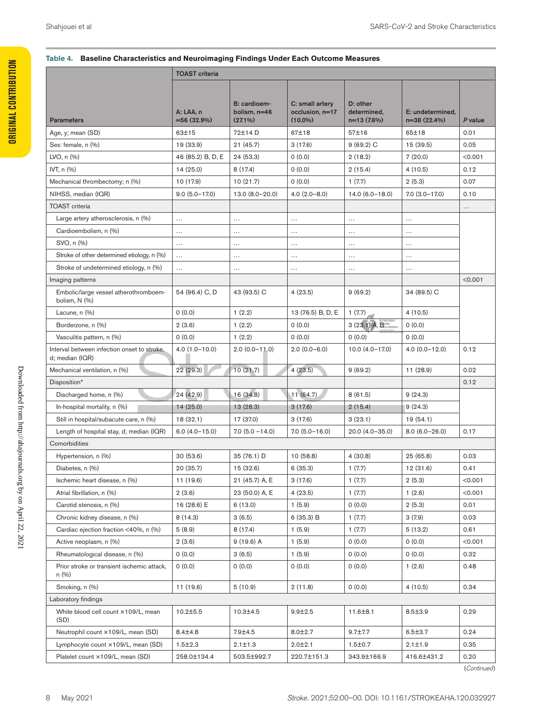#### **Table 4.** Baseline Characteristics and Neuroimaging Findings Under Each Outcome Measures

|                                                                | <b>TOAST</b> criteria       |                                            |                                                  |                                         |                                   |          |
|----------------------------------------------------------------|-----------------------------|--------------------------------------------|--------------------------------------------------|-----------------------------------------|-----------------------------------|----------|
| Parameters                                                     | A: LAA, n<br>$=56(32.9%)$   | B: cardioem-<br>bolism, n=46<br>$(27.1\%)$ | C: small artery<br>occlusion, n=17<br>$(10.0\%)$ | D: other<br>determined,<br>$n=13(7.6%)$ | E: undetermined,<br>$n=38(22.4%)$ | P value  |
| Age, y; mean (SD)                                              | 63±15                       | 72±14 D                                    | 67±18                                            | 57±16                                   | 65±18                             | 0.01     |
| Sex: female, n (%)                                             | 19 (33.9)                   | 21(45.7)                                   | 3(17.6)                                          | $9(69.2)$ C                             | 15 (39.5)                         | 0.05     |
| LVO, n (%)                                                     | 46 (85.2) B, D, E 24 (53.3) |                                            | 0(0.0)                                           | 2(18.2)                                 | 7(20.0)                           | < 0.001  |
| IVT, n (%)                                                     | 14(25.0)                    | 8 (17.4)                                   | 0(0.0)                                           | 2(15.4)                                 | 4(10.5)                           | 0.12     |
|                                                                |                             |                                            |                                                  |                                         |                                   |          |
| Mechanical thrombectomy; n (%)                                 | 10 (17.9)                   | 10(21.7)                                   | 0(0.0)                                           | 1(7.7)                                  | 2(5.3)                            | 0.07     |
| NIHSS, median (IQR)                                            | $9.0(5.0 - 17.0)$           | $13.0 (8.0 - 20.0)$                        | $4.0(2.0 - 8.0)$                                 | $14.0(6.0-18.0)$                        | $7.0$ $(3.0 - 17.0)$              | 0.10     |
| <b>TOAST</b> criteria                                          |                             |                                            |                                                  |                                         |                                   | $\cdots$ |
| Large artery atherosclerosis, n (%)                            | $\cdots$                    | $\cdots$                                   | $\cdots$                                         | $\cdots$                                | $\cdots$                          |          |
| Cardioembolism, n (%)                                          | $\cdots$                    | $\cdots$                                   | $\cdots$                                         | $\dots$ .                               | $\cdots$                          |          |
| SVO, n (%)                                                     | $\cdots$                    | $\cdots$                                   | $\cdots$                                         | $\ldots$                                | $\cdots$                          |          |
| Stroke of other determined etiology, n (%)                     |                             | $\cdots$                                   | $\cdots$                                         | $\ldots$ .                              | $\cdots$                          |          |
| Stroke of undetermined etiology, n (%)                         | $\dots$                     | $\cdots$                                   | $\cdots$                                         | $\ldots$                                | $\cdots$                          |          |
| Imaging patterns                                               |                             |                                            |                                                  |                                         |                                   | < 0.001  |
| Embolic/large vessel atherothromboem-<br>bolism, N (%)         | 54 (96.4) C, D              | 43 (93.5) C                                | 4(23.5)                                          | 9(69.2)                                 | 34 (89.5) C                       |          |
| Lacune, n (%)                                                  | 0(0.0)                      | 1(2.2)                                     | 13 (76.5) B, D, E                                | 1(7.7)                                  | 4(10.5)                           |          |
| Borderzone, n (%)                                              | 2(3.6)                      | 1(2.2)                                     | 0(0.0)                                           | $3(23.1)$ A, $Boclation$                | 0(0.0)                            |          |
| Vasculitis pattern, n (%)                                      | 0(0.0)                      | 1(2.2)                                     | 0(0.0)                                           | 0 (0.0)                                 | 0(0.0)                            |          |
| Interval between infection onset to stroke,<br>d; median (IQR) | $4.0(1.0 - 10.0)$           | $2.0(0.0-11.0)$                            | $2.0(0.0 - 6.0)$                                 | $10.0(4.0-17.0)$                        | $4.0(0.0-12.0)$                   | 0.12     |
| Mechanical ventilation, n (%)                                  | 22 (29.3)                   | 10(21.7)                                   | 4(23.5)                                          | 9(69.2)                                 | 11 (28.9)                         | 0.02     |
| Disposition*                                                   |                             |                                            |                                                  |                                         |                                   | 0.12     |
| Discharged home, n (%)                                         | 24 (42.9)                   | 16 (34.8)                                  | 11(64.7)                                         | 8(61.5)                                 | 9(24.3)                           |          |
| In-hospital mortality, n (%)                                   | 14(25.0)                    | 13(28.3)                                   | 3(17.6)                                          | $\vert 2(15.4) \vert$                   | 9(24.3)                           |          |
|                                                                |                             |                                            |                                                  |                                         |                                   |          |
| Still in hospital/subacute care, n (%)                         | 18(32.1)                    | 17 (37.0)                                  | 3(17.6)                                          | 3(23.1)                                 | 19 (54.1)                         |          |
| Length of hospital stay, d; median (IQR)                       | $6.0(4.0-15.0)$             | $7.0$ (5.0 $-14.0$ )                       | $7.0(5.0-16.0)$                                  | 20.0 (4.0-35.0)                         | $8.0(6.0-26.0)$                   | 0.17     |
| Comorbidities                                                  |                             |                                            |                                                  |                                         |                                   |          |
| Hypertension, n (%)                                            | 30(53.6)                    | 35 (76.1) D                                | 10(58.8)                                         | 4(30.8)                                 | 25 (65.8)                         | 0.03     |
| Diabetes, n (%)                                                | 20 (35.7)                   | 15 (32.6)                                  | 6(35.3)                                          | 1(7.7)                                  | 12 (31.6)                         | 0.41     |
| Ischemic heart disease, n (%)                                  | 11 (19.6)                   | 21 (45.7) A, E                             | 3(17.6)                                          | 1(7.7)                                  | 2(5.3)                            | < 0.001  |
| Atrial fibrillation, n (%)                                     | 2(3.6)                      | 23 (50.0) A, E                             | 4(23.5)                                          | 1(7.7)                                  | 1(2.6)                            | < 0.001  |
| Carotid stenosis, n (%)                                        | 16 (28.6) E                 | 6(13.0)                                    | 1(5.9)                                           | 0(0.0)                                  | 2(5.3)                            | 0.01     |
| Chronic kidney disease, n (%)                                  | 8(14.3)                     | 3(6.5)                                     | 6 (35.3) B                                       | 1(7.7)                                  | 3(7.9)                            | 0.03     |
| Cardiac ejection fraction <40%, n (%)                          | 5(8.9)                      | 8 (17.4)                                   | 1(5.9)                                           | 1(7.7)                                  | 5(13.2)                           | 0.61     |
| Active neoplasm, n (%)                                         | 2(3.6)                      | 9 (19.6) A                                 | 1(5.9)                                           | 0(0.0)                                  | 0(0.0)                            | < 0.001  |
|                                                                |                             |                                            |                                                  |                                         |                                   | 0.32     |
| Rheumatological disease, n (%)                                 | 0(0.0)                      | 3(6.5)                                     | 1(5.9)                                           | 0(0.0)                                  | 0(0.0)                            |          |
| Prior stroke or transient ischemic attack,<br>n (%)            | 0 (0.0)                     | 0(0.0)                                     | 0(0.0)                                           | 0(0.0)                                  | 1(2.6)                            | 0.48     |
| Smoking, n (%)                                                 | 11 (19.6)                   | 5(10.9)                                    | 2(11.8)                                          | 0 (0.0)                                 | 4(10.5)                           | 0.34     |
| Laboratory findings                                            |                             |                                            |                                                  |                                         |                                   |          |
|                                                                |                             |                                            |                                                  |                                         |                                   |          |
| White blood cell count ×109/L, mean<br>(SD)                    | $10.2 \pm 5.5$              | $10.3 + 4.5$                               | $9.9 + 2.5$                                      | 11.6±8.1                                | $8.5 + 3.9$                       | 0.29     |
| Neutrophil count ×109/L, mean (SD)                             | $8.4 + 4.8$                 | $7.9 + 4.5$                                | $8.0 + 2.7$                                      | $9.7 + 7.7$                             | $6.5 \pm 3.7$                     | 0.24     |
| Lymphocyte count ×109/L, mean (SD)                             | $1.5 + 2.3$                 | $2.1 \pm 1.3$                              | $2.0 + 2.1$                                      | 1.5 ± 0.7                               | $2.1 \pm 1.9$                     | 0.35     |
|                                                                |                             |                                            |                                                  |                                         |                                   |          |
| Platelet count ×109/L, mean (SD)                               | 258.0±134.4                 | 503.5±992.7                                | 220.7±151.3                                      | 343.9±166.9                             | 416.6±431.2                       | 0.20     |

(*Continued* )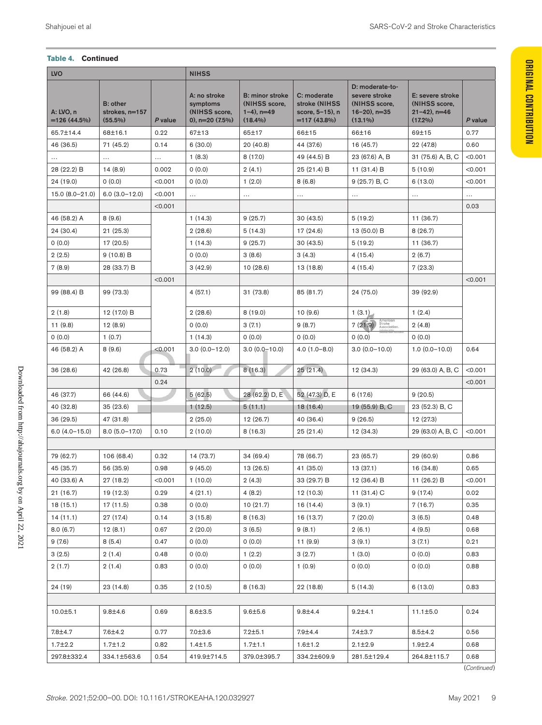#### **Table 4. Continued**

| <b>LVO</b>                           |                        |                |                 | <b>NIHSS</b>                                                  |                                                                          |                                                                   |                                                                                     |                                                                    |             |
|--------------------------------------|------------------------|----------------|-----------------|---------------------------------------------------------------|--------------------------------------------------------------------------|-------------------------------------------------------------------|-------------------------------------------------------------------------------------|--------------------------------------------------------------------|-------------|
| A: LVO, n<br>$=126(44.5%)$           | B: other<br>$(55.5\%)$ | strokes, n=157 | P value         | A: no stroke<br>symptoms<br>(NIHSS score,<br>0), $n=20(7.5%)$ | <b>B: minor stroke</b><br>(NIHSS score,<br>$1-4$ ), $n=49$<br>$(18.4\%)$ | C: moderate<br>stroke (NIHSS<br>score, 5-15), n<br>$=117(43.8\%)$ | D: moderate-to-<br>severe stroke<br>(NIHSS score,<br>$16 - 20$ , n=35<br>$(13.1\%)$ | E: severe stroke<br>(NIHSS score,<br>$21-42$ ), n=46<br>$(17.2\%)$ | P value     |
| 65.7±14.4                            | 68±16.1                |                | 0.22            | 67±13                                                         | 65±17                                                                    | 66±15                                                             | 66±16                                                                               | 69±15                                                              | 0.77        |
| 46 (36.5)                            | 71 (45.2)              |                | 0.14            | 6(30.0)                                                       | 20(40.8)                                                                 | 44 (37.6)                                                         | 16(45.7)                                                                            | 22 (47.8)                                                          | 0.60        |
| $\cdots$                             | $\ldots$ .             |                | $\sim$ - $\sim$ | 1(8.3)                                                        | 8 (17.0)                                                                 | 49 (44.5) B                                                       | 23 (67.6) A, B                                                                      | 31 (75.6) A, B, C                                                  | < 0.001     |
| 28 (22.2) B                          | 14(8.9)                |                | 0.002           | 0(0.0)                                                        | 2(4.1)                                                                   | 25 (21.4) B                                                       | 11 (31.4) B                                                                         | 5(10.9)                                                            | < 0.001     |
| 24 (19.0)                            | 0(0.0)                 |                | < 0.001         | 0(0.0)                                                        | 1(2.0)                                                                   | 8(6.8)                                                            | 9(25.7) B, C                                                                        | 6 (13.0)                                                           | < 0.001     |
| $15.0 (8.0 - 21.0)$ 6.0 (3.0 - 12.0) |                        |                | < 0.001         | $\ddotsc$                                                     |                                                                          | $\cdots$                                                          | $\dots$                                                                             | $\cdots$                                                           | $\cdots$    |
|                                      |                        |                | < 0.001         |                                                               |                                                                          |                                                                   |                                                                                     |                                                                    | 0.03        |
| 46 (58.2) A                          | 8(9.6)                 |                |                 | 1(14.3)                                                       | 9(25.7)                                                                  | 30(43.5)                                                          | 5(19.2)                                                                             | 11 (36.7)                                                          |             |
| 24 (30.4)                            | 21 (25.3)              |                |                 | 2(28.6)                                                       | 5(14.3)                                                                  | 17 (24.6)                                                         | 13 (50.0) B                                                                         | 8(26.7)                                                            |             |
| 0(0.0)                               | 17 (20.5)              |                |                 | 1(14.3)                                                       | 9(25.7)                                                                  | 30(43.5)                                                          | 5(19.2)                                                                             | 11 (36.7)                                                          |             |
| 2(2.5)                               | 9 (10.8) B             |                |                 | 0(0.0)                                                        | 3(8.6)                                                                   | 3(4.3)                                                            | 4(15.4)                                                                             | 2(6.7)                                                             |             |
| 7(8.9)                               |                        | 28 (33.7) B    |                 | 3(42.9)                                                       | 10(28.6)                                                                 | 13(18.8)                                                          | 4 (15.4)                                                                            | 7(23.3)                                                            |             |
|                                      |                        |                | < 0.001         |                                                               |                                                                          |                                                                   |                                                                                     |                                                                    | < 0.001     |
| 99 (88.4) B                          | 99 (73.3)              |                |                 | 4(57.1)                                                       | 31 (73.8)                                                                | 85 (81.7)                                                         | 24 (75.0)                                                                           | 39 (92.9)                                                          |             |
| 2(1.8)                               |                        | 12 (17.0) B    |                 | 2(28.6)                                                       | 8(19.0)                                                                  | 10(9.6)                                                           | 1(3.1)                                                                              | 1(2.4)                                                             |             |
| 11(9.8)                              | 12(8.9)                |                |                 | 0(0.0)                                                        | 3(7.1)                                                                   | 9(8.7)                                                            | 7(21.9)<br>troke                                                                    | 2(4.8)                                                             |             |
| 0(0.0)                               | 1(0.7)                 |                |                 | 1(14.3)                                                       | 0(0.0)                                                                   | 0(0.0)                                                            | 0(0.0)                                                                              | 0(0.0)                                                             |             |
| 46 (58.2) A                          | 8 (9.6)                |                | < 0.001         | $3.0(0.0 - 12.0)$                                             | $3.0(0.0 - 10.0)$                                                        | $4.0(1.0 - 8.0)$                                                  | $3.0(0.0 - 10.0)$                                                                   | $1.0(0.0-10.0)$                                                    | 0.64        |
| 36(28.6)                             | 42 (26.8)              |                | 0.73            | 2(10.0)                                                       | 8(16.3)                                                                  | 25(21.4)                                                          | 12 (34.3)                                                                           | 29 (63.0) A, B, C                                                  | < 0.001     |
|                                      |                        |                | 0.24            |                                                               |                                                                          |                                                                   |                                                                                     |                                                                    | < 0.001     |
| 46 (37.7)                            | 66 (44.6)              |                |                 | 5(62.5)                                                       | 28 (62.2) D, E                                                           | 52 (47.3) D, E                                                    | 6 (17.6)                                                                            | 9(20.5)                                                            |             |
| 40 (32.8)                            | 35 (23.6)              |                |                 | 1(12.5)                                                       | 5(11.1)                                                                  | 18 (16.4)                                                         | 19 (55.9) B, C                                                                      | 23 (52.3) B, C                                                     |             |
| 36(29.5)                             | 47 (31.8)              |                |                 | 2(25.0)                                                       | 12 (26.7)                                                                | 40 (36.4)                                                         | 9(26.5)                                                                             | 12 (27.3)                                                          |             |
| $6.0(4.0-15.0)$                      |                        | 8.0 (5.0-17.0) | 0.10            | 2(10.0)                                                       | 8(16.3)                                                                  | 25(21.4)                                                          | 12 (34.3)                                                                           | 29 (63.0) A, B, C                                                  | $ $ <0.001  |
|                                      |                        |                |                 |                                                               |                                                                          |                                                                   |                                                                                     |                                                                    |             |
| 79 (62.7)                            |                        | 106 (68.4)     | 0.32            | 14 (73.7)                                                     | 34(69.4)                                                                 | 78 (66.7)                                                         | 23 (65.7)                                                                           | 29(60.9)                                                           | 0.86        |
| 45 (35.7)                            | 56 (35.9)              |                | 0.98            | 9(45.0)                                                       | 13(26.5)                                                                 | 41 (35.0)                                                         | 13(37.1)                                                                            | 16 (34.8)                                                          | 0.65        |
| 40 (33.6) A                          | 27 (18.2)              |                | < 0.001         | 1(10.0)                                                       | 2(4.3)                                                                   | 33 (29.7) B                                                       | 12 (36.4) B                                                                         | 11 (26.2) B                                                        | < 0.001     |
| 21 (16.7)                            | 19 (12.3)              |                | 0.29            | 4(21.1)                                                       | 4(8.2)                                                                   | 12 (10.3)                                                         | 11 (31.4) C                                                                         | 9 (17.4)                                                           | 0.02        |
| 18(15.1)                             | 17 (11.5)              |                | 0.38            | 0(0.0)                                                        | 10(21.7)                                                                 | 16 (14.4)                                                         | 3(9.1)                                                                              | 7(16.7)                                                            | 0.35        |
| 14 (11.1)                            | 27 (17.4)              |                | 0.14            | 3 (15.8)                                                      | 8(16.3)                                                                  | 16 (13.7)                                                         | 7(20.0)                                                                             | 3(6.5)                                                             | 0.48        |
| 8.0(6.7)                             | 12(8.1)                |                | 0.67            | 2(20.0)                                                       | 3(6.5)                                                                   | 9(8.1)                                                            | 2(6.1)                                                                              | 4(9.5)                                                             | 0.68        |
| 9 (7.6)                              | 8(5.4)                 |                | 0.47            | 0(0.0)                                                        | 0(0.0)                                                                   | 11 (9.9)                                                          | 3(9.1)                                                                              | 3(7.1)                                                             | 0.21        |
| 3(2.5)                               | 2(1.4)                 |                | 0.48            | 0(0.0)                                                        | 1(2.2)                                                                   | 3(2.7)                                                            | 1(3.0)                                                                              | 0(0.0)                                                             | 0.83        |
| 2(1.7)                               | 2(1.4)                 |                | 0.83            | 0(0.0)                                                        | 0(0.0)                                                                   | 1(0.9)                                                            | 0(0.0)                                                                              | 0(0.0)                                                             | 0.88        |
| 24 (19)                              | 23 (14.8)              |                | 0.35            | 2(10.5)                                                       | 8(16.3)                                                                  | 22 (18.8)                                                         | 5(14.3)                                                                             | 6 (13.0)                                                           | 0.83        |
|                                      |                        |                |                 |                                                               |                                                                          |                                                                   |                                                                                     |                                                                    |             |
| 10.0±5.1                             | $9.8 + 4.6$            |                | 0.69            | $8.6 + 3.5$                                                   | $9.6 + 5.6$                                                              | $9.8 + 4.4$                                                       | $9.2 + 4.1$                                                                         | $11.1 \pm 5.0$                                                     | 0.24        |
| 7.8±4.7                              | 7.6±4.2                |                | 0.77            | $7.0 + 3.6$                                                   | $7.2 + 5.1$                                                              | 7.9±4.4                                                           | 7.4±3.7                                                                             | $8.5 + 4.2$                                                        | 0.56        |
| $1.7 + 2.2$                          | $1.7 \pm 1.2$          |                | 0.82            | $1.4 + 1.5$                                                   | $1.7 + 1.1$                                                              | $1.6 \pm 1.2$                                                     | $2.1 \pm 2.9$                                                                       | $1.9 + 2.4$                                                        | 0.68        |
| 297.8±332.4                          |                        | 334.1±563.6    | 0.54            | 419.9±714.5                                                   | 379.0±395.7                                                              | 334.2±609.9                                                       | 281.5±129.4                                                                         | 264.8±115.7                                                        | 0.68        |
|                                      |                        |                |                 |                                                               |                                                                          |                                                                   |                                                                                     |                                                                    | (Continued) |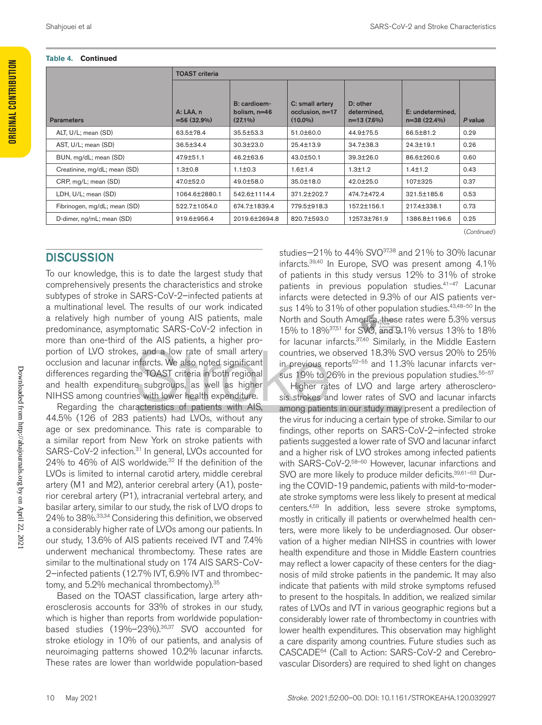| Table 4.<br><b>Continued</b> |                           |                                            |                                                  |                                         |                                   |         |
|------------------------------|---------------------------|--------------------------------------------|--------------------------------------------------|-----------------------------------------|-----------------------------------|---------|
|                              | <b>TOAST</b> criteria     |                                            |                                                  |                                         |                                   |         |
| Parameters                   | A: LAA, n<br>$=56(32.9%)$ | B: cardioem-<br>bolism, n=46<br>$(27.1\%)$ | C: small artery<br>occlusion, n=17<br>$(10.0\%)$ | D: other<br>determined,<br>$n=13(7.6%)$ | E: undetermined,<br>$n=38(22.4%)$ | P value |
| ALT, U/L; mean (SD)          | 63.5±78.4                 | 35.5±53.3                                  | 51.0±60.0                                        | 44.9±75.5                               | 66.5±81.2                         | 0.29    |
| AST, U/L; mean (SD)          | 36.5±34.4                 | $30.3 \pm 23.0$                            | 25.4±13.9                                        | 34.7±38.3                               | $24.3 \pm 19.1$                   | 0.26    |
| BUN, mg/dL; mean (SD)        | 47.9±51.1                 | 46.2±63.6                                  | 43.0±50.1                                        | 39.3±26.0                               | 86.6±260.6                        | 0.60    |
| Creatinine, mg/dL; mean (SD) | $1.3 + 0.8$               | $1.1 \pm 0.3$                              | $1.6 + 1.4$                                      | $1.3 \pm 1.2$                           | $1.4 \pm 1.2$                     | 0.43    |
| CRP, mg/L; mean (SD)         | 47.0±52.0                 | 49.0±58.0                                  | 35.0±18.0                                        | 42.0±25.0                               | 107±325                           | 0.37    |
| LDH, U/L; mean (SD)          | 1064.6±2880.1             | 542.6±1114.4                               | 371.2±202.7                                      | 474.7±472.4                             | 321.5±185.6                       | 0.53    |
| Fibrinogen, mg/dL; mean (SD) | 522.7±1054.0              | 674.7±1839.4                               | 779.5±918.3                                      | 157.2±156.1                             | 217.4±338.1                       | 0.73    |
| D-dimer, ng/mL; mean (SD)    | 919.6±956.4               | 2019.6±2694.8                              | 820.7±593.0                                      | 1257.3±761.9                            | 1386.8±1196.6                     | 0.25    |

(*Continued*) **Continue for comparison in**dicate a significant post  $P$  value transaminates are  $P$ 

### **DISCUSSION**

To our knowledge, this is to date the largest study that comprehensively presents the characteristics and stroke subtypes of stroke in SARS-CoV-2–infected patients at a multinational level. The results of our work indicated a relatively high number of young AIS patients, male predominance, asymptomatic SARS-CoV-2 infection in more than one-third of the AIS patients, a higher proportion of LVO strokes, and a low rate of small artery occlusion and lacunar infarcts. We also noted significant differences regarding the TOAST criteria in both regional and health expenditure subgroups, as well as higher NIHSS among countries with lower health expenditure.

Regarding the characteristics of patients with AIS, 44.5% (126 of 283 patients) had LVOs, without any age or sex predominance. This rate is comparable to a similar report from New York on stroke patients with SARS-CoV-2 infection.<sup>31</sup> In general, LVOs accounted for 24% to 46% of AIS worldwide.32 If the definition of the LVOs is limited to internal carotid artery, middle cerebral artery (M1 and M2), anterior cerebral artery (A1), posterior cerebral artery (P1), intracranial vertebral artery, and basilar artery, similar to our study, the risk of LVO drops to 24% to 38%.33,34 Considering this definition, we observed a considerably higher rate of LVOs among our patients. In our study, 13.6% of AIS patients received IVT and 7.4% underwent mechanical thrombectomy. These rates are similar to the multinational study on 174 AIS SARS-CoV-2–infected patients (12.7% IVT, 6.9% IVT and thrombectomy, and 5.2% mechanical thrombectomy).<sup>35</sup>

Based on the TOAST classification, large artery atherosclerosis accounts for 33% of strokes in our study, which is higher than reports from worldwide populationbased studies (19%–23%).36,37 SVO accounted for stroke etiology in 10% of our patients, and analysis of neuroimaging patterns showed 10.2% lacunar infarcts. These rates are lower than worldwide population-based

studies $-21\%$  to 44% SVO $37,38$  and 21% to 30% lacunar infarcts.39,40 In Europe, SVO was present among 4.1% of patients in this study versus 12% to 31% of stroke patients in previous population studies.<sup>41-47</sup> Lacunar infarcts were detected in 9.3% of our AIS patients versus 14% to 31% of other population studies.<sup>43,48–50</sup> In the North and South America, these rates were 5.3% versus 15% to 18%37,51 for SVO, and 9.1% versus 13% to 18% for lacunar infarcts. 37,40 Similarly, in the Middle Eastern countries, we observed 18.3% SVO versus 20% to 25% in previous reports<sup>52–55</sup> and 11.3% lacunar infarcts versus 19% to 26% in the previous population studies.<sup>55-57</sup>

Higher rates of LVO and large artery atherosclerosis strokes and lower rates of SVO and lacunar infarcts among patients in our study may present a predilection of the virus for inducing a certain type of stroke. Similar to our findings, other reports on SARS-CoV-2–infected stroke patients suggested a lower rate of SVO and lacunar infarct and a higher risk of LVO strokes among infected patients with SARS-CoV-2.<sup>58–60</sup> However, lacunar infarctions and SVO are more likely to produce milder deficits.<sup>39,61-63</sup> During the COVID-19 pandemic, patients with mild-to-moderate stroke symptoms were less likely to present at medical centers.4,59 In addition, less severe stroke symptoms, mostly in critically ill patients or overwhelmed health centers, were more likely to be underdiagnosed. Our observation of a higher median NIHSS in countries with lower health expenditure and those in Middle Eastern countries may reflect a lower capacity of these centers for the diagnosis of mild stroke patients in the pandemic. It may also indicate that patients with mild stroke symptoms refused to present to the hospitals. In addition, we realized similar rates of LVOs and IVT in various geographic regions but a considerably lower rate of thrombectomy in countries with lower health expenditures. This observation may highlight a care disparity among countries. Future studies such as CASCADE64 (Call to Action: SARS-CoV-2 and Cerebrovascular Disorders) are required to shed light on changes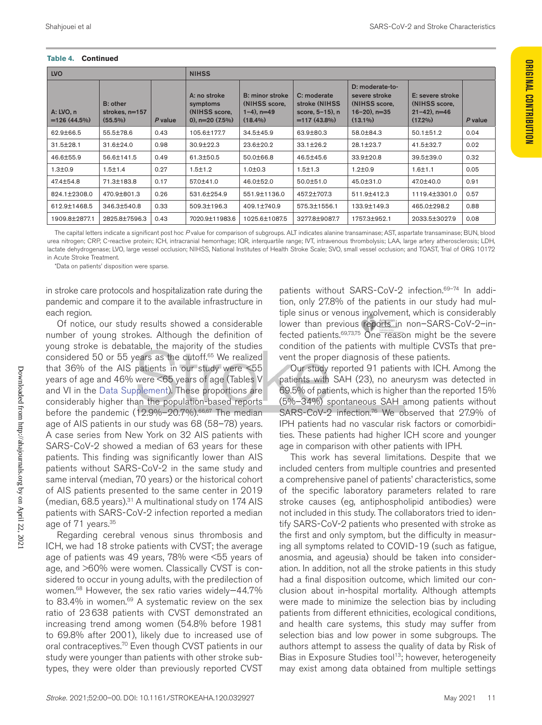#### **Table 4. Continued Table 4. Continued**

|                                                                                                                                                                                 |                                                | <b>NIHSS</b>                                                  |         |                                          | <b>LVO</b>                 |
|---------------------------------------------------------------------------------------------------------------------------------------------------------------------------------|------------------------------------------------|---------------------------------------------------------------|---------|------------------------------------------|----------------------------|
| D: moderate-to-<br>B: minor stroke   C: moderate<br>severe stroke<br>stroke (NIHSS<br><b>(NIHSS score,</b><br>score, 5-15), n<br>$16-20$ , n=35<br>$=117(43.8\%)$<br>$(13.1\%)$ | (NIHSS score,<br>$1-4$ ), $n=49$<br>$(18.4\%)$ | A: no stroke<br>symptoms<br>(NIHSS score,<br>0), $n=20(7.5%)$ | P value | B: other<br>strokes, n=157<br>$(55.5\%)$ | A: LVO, n<br>$=126(44.5%)$ |
| 63.9±80.3<br>58.0±84.3                                                                                                                                                          | 34.5±45.9                                      | 105.6±177.7                                                   | 0.43    | 55.5±78.6                                | 62.9±66.5                  |
| $33.1 \pm 26.2$<br>28.1±23.7                                                                                                                                                    | 23.6±20.2                                      | $30.9 \pm 22.3$                                               | 0.98    | 31.6±24.0                                | 31.5±28.1                  |
| 33.9±20.8<br>46.5±45.6                                                                                                                                                          | 50.0±66.8                                      | 61.3±50.5                                                     | 0.49    | 56.6±141.5                               | 46.6±55.9                  |
| $1.2 \pm 0.9$<br>$1.5 \pm 1.3$                                                                                                                                                  | 1.0 ± 0.3                                      | $1.5 \pm 1.2$                                                 | 0.27    | $1.5 + 1.4$                              | $1.3 + 0.9$                |
| 50.0±51.0<br>45.0±31.0                                                                                                                                                          | 46.0±52.0                                      | 57.0±41.0                                                     | 0.17    | 71.3±183.8                               | 47.4±54.8                  |
| 457.2±707.3<br>511.9±412.3                                                                                                                                                      | 551.9±1136.0                                   | 531.6±254.9                                                   | 0.26    | 470.9±801.3                              | 824.1±2308.0               |
| 575.3±1556.1<br>133.9±149.3                                                                                                                                                     | 409.1±740.9                                    | 509.3±196.3                                                   | 0.33    | 346.3±540.8                              | 612.9±1468.5               |
| 3277.8±9087.7<br>1757.3±952.1                                                                                                                                                   | 1025.6±1087.5                                  | 7020.9±11983.6                                                |         | 2825.8±7596.3 0.43                       | 1909.8±2877.1              |

The capital letters indicate a significant post hoc Pvalue for comparison of subgroups. ALT indicates alanine transaminase; AST, aspartate transaminase; BUN, blood urea nitrogen; CRP, C-reactive protein; ICH, intracranial hemorrhage; IQR, interquartile range; IVT, intravenous thrombolysis; LAA, large artery atherosclerosis; LDH, lactate dehydrogenase; LVO, large vessel occlusion; NIHSS, National Institutes of Health Stroke Scale; SVO, small vessel occlusion; and TOAST, Trial of ORG 10172 in Acute Stroke Treatment.

\*Data on patients' disposition were sparse.

in stroke care protocols and hospitalization rate during the pandemic and compare it to the available infrastructure in each region.

Of notice, our study results showed a considerable number of young strokes. Although the definition of young stroke is debatable, the majority of the studies considered 50 or 55 years as the cutoff.65 We realized that 36% of the AIS patients in our study were <55 years of age and 46% were <65 years of age (Tables V and VI in the Data Supplement). These proportions are considerably higher than the population-based reports before the pandemic (12.9%-20.7%).<sup>66,67</sup> The median age of AIS patients in our study was 68 (58–78) years. A case series from New York on 32 AIS patients with SARS-CoV-2 showed a median of 63 years for these patients. This finding was significantly lower than AIS patients without SARS-CoV-2 in the same study and same interval (median, 70 years) or the historical cohort of AIS patients presented to the same center in 2019 (median,  $68.5$  years). $31$  A multinational study on 174 AIS patients with SARS-CoV-2 infection reported a median age of 71 years.<sup>35</sup>

Regarding cerebral venous sinus thrombosis and ICH, we had 18 stroke patients with CVST; the average age of patients was 49 years, 78% were <55 years of age, and >60% were women. Classically CVST is considered to occur in young adults, with the predilection of women.68 However, the sex ratio varies widely—44.7% to 83.4% in women.<sup>69</sup> A systematic review on the sex ratio of 23638 patients with CVST demonstrated an increasing trend among women (54.8% before 1981 to 69.8% after 2001), likely due to increased use of oral contraceptives.<sup>70</sup> Even though CVST patients in our study were younger than patients with other stroke subtypes, they were older than previously reported CVST

patients without SARS-CoV-2 infection.<sup>69-74</sup> In addition, only 27.8% of the patients in our study had multiple sinus or venous involvement, which is considerably lower than previous reports in non-SARS-CoV-2-infected patients.<sup>69,73,75</sup> One reason might be the severe condition of the patients with multiple CVSTs that prevent the proper diagnosis of these patients.

Our study reported 91 patients with ICH. Among the patients with SAH (23), no aneurysm was detected in 69.5% of patients, which is higher than the reported 15% (5%–34%) spontaneous SAH among patients without SARS-CoV-2 infection.76 We observed that 27.9% of IPH patients had no vascular risk factors or comorbidities. These patients had higher ICH score and younger age in comparison with other patients with IPH.

This work has several limitations. Despite that we included centers from multiple countries and presented a comprehensive panel of patients' characteristics, some of the specific laboratory parameters related to rare stroke causes (eg, antiphospholipid antibodies) were not included in this study. The collaborators tried to identify SARS-CoV-2 patients who presented with stroke as the first and only symptom, but the difficulty in measuring all symptoms related to COVID-19 (such as fatigue, anosmia, and ageusia) should be taken into consideration. In addition, not all the stroke patients in this study had a final disposition outcome, which limited our conclusion about in-hospital mortality. Although attempts were made to minimize the selection bias by including patients from different ethnicities, ecological conditions, and health care systems, this study may suffer from selection bias and low power in some subgroups. The authors attempt to assess the quality of data by Risk of Bias in Exposure Studies tool<sup>13</sup>; however, heterogeneity may exist among data obtained from multiple settings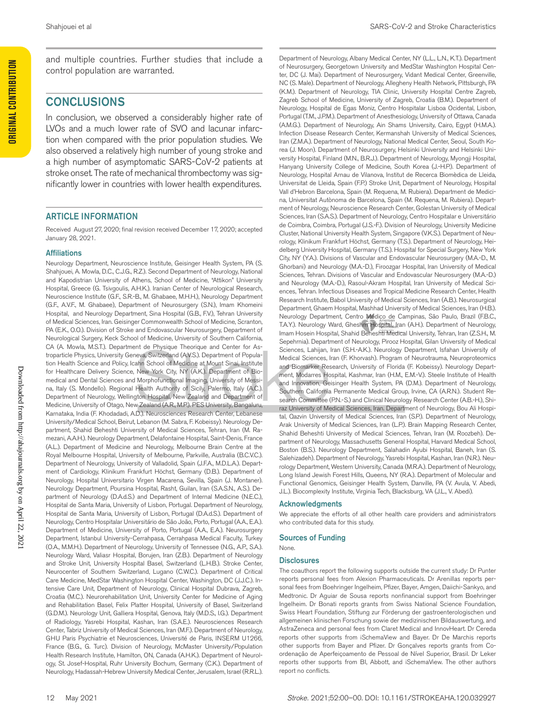and multiple countries. Further studies that include a control population are warranted.

#### CONCLUSIONS

In conclusion, we observed a considerably higher rate of LVOs and a much lower rate of SVO and lacunar infarction when compared with the prior population studies. We also observed a relatively high number of young stroke and a high number of asymptomatic SARS-CoV-2 patients at stroke onset. The rate of mechanical thrombectomy was significantly lower in countries with lower health expenditures.

#### ARTICLE INFORMATION

Received August 27, 2020; final revision received December 17, 2020; accepted January 28, 2021.

#### Affiliations

Neurology Department, Neuroscience Institute, Geisinger Health System, PA (S. Shahjouei, A. Mowla, D.C., C.J.G., R.Z.). Second Department of Neurology, National and Kapodistrian University of Athens, School of Medicine, "Attikon" University Hospital, Greece (G. Tsivgoulis, A.H.K.). Iranian Center of Neurological Research, Neuroscience Institute (G.F., S.R.-B., M. Ghabaee, M.H.H.), Neurology Department (G.F., A.V.F., M. Ghabaee), Department of Neurosurgery (S.N.), Imam Khomeini Hospital, and Neurology Department, Sina Hospital (G.B., F.V.), Tehran University of Medical Sciences, Iran. Geisinger Commonwealth School of Medicine, Scranton, PA (E.K., O.O.). Division of Stroke and Endovascular Neurosurgery, Department of Neurological Surgery, Keck School of Medicine, University of Southern California, CA (A. Mowla, M.S.T.). Department de Physique Theorique and Center for Astroparticle Physics, University Geneva, Switzerland (A.V.S.). Department of Population Health Science and Policy, Icahn School of Medicine at Mount Sinai, Institute for Healthcare Delivery Science, New York City, NY (A.K.). Department of Biomedical and Dental Sciences and Morphofunctional Imaging, University of Messina, Italy (S. Mondello). Regional Health Authority of Sicily, Palermo, Italy (A.C.). Department of Neurology, Wellington Hospital, New Zealand and Department of Medicine, University of Otago, New Zealand (A.R., M.P.). PES University, Bangaluru, Karnataka, India (F. Khodadadi, A.D.). Neurosciences Research Center, Lebanese University/Medical School, Beirut, Lebanon (M. Sabra, F. Kobeissy). Neurology Department, Shahid Beheshti University of Medical Sciences, Tehran, Iran (M. Ramezani, A.A.H.). Neurology Department, Delafontaine Hospital, Saint-Denis, France (A.L.). Department of Medicine and Neurology, Melbourne Brain Centre at the Royal Melbourne Hospital, University of Melbourne, Parkville, Australia (B.C.V.C.). Department of Neurology, University of Valladolid, Spain (J.F.A., M.D.L.A.). Department of Cardiology, Klinikum Frankfurt Höchst, Germany (D.B.). Department of Neurology, Hospital Universitario Virgen Macarena, Sevilla, Spain (J. Montaner). Neurology Department, Poursina Hospital, Rasht, Guilan, Iran (S.A.S.N., A.S.). Department of Neurology (D.A.d.S.) and Department of Internal Medicine (N.E.C.), Hospital de Santa Maria, University of Lisbon, Portugal. Department of Neurology, Hospital de Santa Maria, University of Lisbon, Portugal (D.A.d.S.). Department of Neurology, Centro Hospitalar Universitário de São João, Porto, Portugal (A.A., E.A.). Department of Medicine, University of Porto, Portugal (A.A., E.A.). Neurosurgery Department, Istanbul University-Cerrahpasa, Cerrahpasa Medical Faculty, Turkey (O.A., M.M.H.). Department of Neurology, University of Tennessee (N.G., A.P., S.A.). Neurology Ward, Valiasr Hospital, Borujen, Iran (Z.B.). Department of Neurology and Stroke Unit, University Hospital Basel, Switzerland (L.H.B.). Stroke Center, Neurocenter of Southern Switzerland, Lugano (C.W.C.). Department of Critical Care Medicine, MedStar Washington Hospital Center, Washington, DC (J.J.C.). Intensive Care Unit, Department of Neurology, Clinical Hospital Dubrava, Zagreb, Croatia (M.C.). Neurorehabilitation Unit, University Center for Medicine of Aging and Rehabilitation Basel, Felix Platter Hospital, University of Basel, Switzerland (G.D.M.). Neurology Unit, Galliera Hospital, Genova, Italy (M.D.S., I.G.). Department of Radiology, Yasrebi Hospital, Kashan, Iran (S.A.E.). Neurosciences Research Center, Tabriz University of Medical Sciences, Iran (M.F.). Department of Neurology, GHU Paris Psychiatrie et Neurosciences, Université de Paris, INSERM U1266, France (B.G., G. Turc). Division of Neurology, McMaster University/Population Health Research Institute, Hamilton, ON, Canada (A.H.K.). Department of Neurology, St. Josef-Hospital, Ruhr University Bochum, Germany (C.K.). Department of Neurology, Hadassah-Hebrew University Medical Center, Jerusalem, Israel (R.R.L.).

Department of Neurology, Albany Medical Center, NY (L.L., L.N., K.T.). Department of Neurosurgery, Georgetown University and MedStar Washington Hospital Center, DC (J. Mai). Department of Neurosurgery, Vidant Medical Center, Greenville, NC (S. Male). Department of Neurology, Allegheny Health Network, Pittsburgh, PA (K.M.). Department of Neurology, TIA Clinic, University Hospital Centre Zagreb, Zagreb School of Medicine, University of Zagreb, Croatia (B.M.). Department of Neurology, Hospital de Egas Moniz, Centro Hospitalar Lisboa Ocidental, Lisbon, Portugal (T.M., J.P.M.). Department of Anesthesiology, University of Ottawa, Canada (A.M.G.). Department of Neurology, Ain Shams University, Cairo, Egypt (H.M.A.). Infection Disease Research Center, Kermanshah University of Medical Sciences, Iran (Z.M.A.). Department of Neurology, National Medical Center, Seoul, South Korea (J. Moon). Department of Neurosurgery, Helsinki University and Helsinki University Hospital, Finland (M.N., B.R.J.). Department of Neurology, Myongji Hospital, Hanyang University College of Medicine, South Korea (J.-H.P.). Department of Neurology, Hospital Arnau de Vilanova, Institut de Recerca Biomèdica de Lleida, Universitat de Lleida, Spain (F.P.) Stroke Unit, Department of Neurology, Hospital Vall d'Hebron Barcelona, Spain (M. Requena, M. Rubiera). Department de Medicina, Universitat Autònoma de Barcelona, Spain (M. Requena, M. Rubiera). Department of Neurology, Neuroscience Research Center, Golestan University of Medical Sciences, Iran (S.A.S.). Department of Neurology, Centro Hospitalar e Universitário de Coimbra, Coimbra, Portugal (J.S.-F.). Division of Neurology, University Medicine Cluster, National University Health System, Singapore (V.K.S.). Department of Neurology, Klinikum Frankfurt Höchst, Germany (T.S.). Department of Neurology, Heidelberg University Hospital, Germany (T.S.). Hospital for Special Surgery, New York City, NY (Y.A.). Divisions of Vascular and Endovascular Neurosurgery (M.A.-D., M. Ghorbani) and Neurology (M.A.-D.), Firoozgar Hospital, Iran University of Medical Sciences, Tehran. Divisions of Vascular and Endovascular Neurosurgery (M.A.-D.) and Neurology (M.A.-D.), Rasoul-Akram Hospital, Iran University of Medical Sciences, Tehran. Infectious Diseases and Tropical Medicine Research Center, Health Research Institute, Babol University of Medical Sciences, Iran (A.B.). Neurosurgical Department, Ghaem Hospital, Mashhad University of Medical Sciences, Iran (H.B.). Neurology Department, Centro Médico de Campinas, São Paulo, Brazil (F.B.C., T.A.Y.). Neurology Ward, Gheshm Hospital, Iran (A.H.). Department of Neurology, Imam Hosein Hospital, Shahid Beheshti Medical University, Tehran, Iran (Z.S.H., M. Sepehrnia). Department of Neurology, Pirooz Hospital, Gilan University of Medical Sciences, Lahijan, Iran (S.H.-A.K.). Neurology Department, Isfahan University of Medical Sciences, Iran (F. Khorvash). Program of Neurotrauma, Neuroproteomics and Biomarker Research, University of Florida (F. Kobeissy). Neurology Department, Modarres Hospital, Kashmar, Iran (H.M., E.M.-V.). Steele Institute of Health and Innovation, Geisinger Health System, PA (D.M.). Department of Neurology, Southern California Permanente Medical Group, Irvine, CA (A.R.N.). Student Research Committee (P.N.-S.) and Clinical Neurology Research Center (A.B.-H.), Shiraz University of Medical Sciences, Iran. Department of Neurology, Bou Ali Hospital, Qazvin University of Medical Sciences, Iran (S.P.). Department of Neurology, Arak University of Medical Sciences, Iran (L.P.). Brain Mapping Research Center, Shahid Beheshti University of Medical Sciences, Tehran, Iran (M. Roozbeh). Department of Neurology, Massachusetts General Hospital, Harvard Medical School, Boston (B.S.). Neurology Department, Salahadin Ayubi Hospital, Baneh, Iran (S. Salehizadeh). Department of Neurology, Yasrebi Hospital, Kashan, Iran (N.R.). Neurology Department, Western University, Canada (M.R.A.). Department of Neurology, Long Island Jewish Forest Hills, Queens, NY (R.A.). Department of Molecular and Functional Genomics, Geisinger Health System, Danville, PA (V. Avula, V. Abedi, J.L.). Biocomplexity Institute, Virginia Tech, Blacksburg, VA (J.L., V. Abedi).

#### Acknowledgments

We appreciate the efforts of all other health care providers and administrators who contributed data for this study.

#### Sources of Funding

None.

#### **Disclosures**

The coauthors report the following supports outside the current study: Dr Punter reports personal fees from Alexion Pharmaceuticals. Dr Arenillas reports personal fees from Boehringer Ingelheim, Pfizer, Bayer, Amgen, Daiichi-Sankyo, and Medtronic. Dr Aguiar de Sousa reports nonfinancial support from Boehringer Ingelheim. Dr Bonati reports grants from Swiss National Science Foundation, Swiss Heart Foundation, Stiftung zur Förderung der gastroenterologischen und allgemeinen klinischen Forschung sowie der medizinischen Bildauswertung, and AstraZeneca and personal fees from Claret Medical and InnovHeart. Dr Cereda reports other supports from iSchemaView and Bayer. Dr De Marchis reports other supports from Bayer and Pfizer. Dr Gonçalves reports grants from Coordenação de Aperfeiçoamento de Pessoal de Nível Superior, Brasil. Dr Leker reports other supports from BI, Abbott, and iSchemaView. The other authors report no conflicts.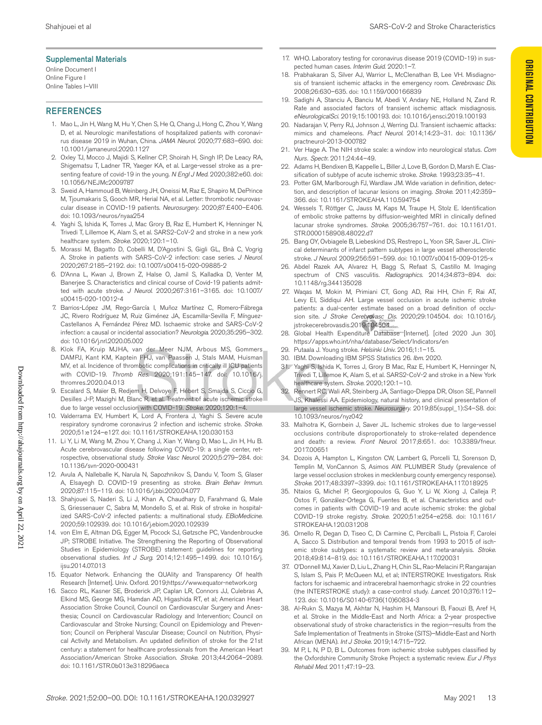#### Supplemental Materials

Online Document I Online Figure I Online Tables I–VIII

#### **REFERENCES**

- 1. Mao L, Jin H, Wang M, Hu Y, Chen S, He Q, Chang J, Hong C, Zhou Y, Wang D, et al. Neurologic manifestations of hospitalized patients with coronavirus disease 2019 in Wuhan, China. *JAMA Neurol*. 2020;77:683–690. doi: 10.1001/jamaneurol.2020.1127
- 2. Oxley TJ, Mocco J, Majidi S, Kellner CP, Shoirah H, Singh IP, De Leacy RA, Shigematsu T, Ladner TR, Yaeger KA, et al. Large-vessel stroke as a presenting feature of covid-19 in the young. *N Engl J Med*. 2020;382:e60. doi: 10.1056/NEJMc2009787
- 3. Sweid A, Hammoud B, Weinberg JH, Oneissi M, Raz E, Shapiro M, DePrince M, Tjoumakaris S, Gooch MR, Herial NA, et al. Letter: thrombotic neurovascular disease in COVID-19 patients. *Neurosurgery*. 2020;87:E400–E406. doi: 10.1093/neuros/nyaa254
- 4. Yaghi S, Ishida K, Torres J, Mac Grory B, Raz E, Humbert K, Henninger N, Trivedi T, Lillemoe K, Alam S, et al. SARS2-CoV-2 and stroke in a new york healthcare system. *Stroke*. 2020;120:1–10.
- 5. Morassi M, Bagatto D, Cobelli M, D'Agostini S, Gigli GL, Bnà C, Vogrig A. Stroke in patients with SARS-CoV-2 infection: case series. *J Neurol*. 2020;267:2185–2192. doi: 10.1007/s00415-020-09885-2
- 6. D'Anna L, Kwan J, Brown Z, Halse O, Jamil S, Kalladka D, Venter M, Banerjee S. Characteristics and clinical course of Covid-19 patients admitted with acute stroke. *J Neurol*. 2020;267:3161–3165. doi: 10.1007/ s00415-020-10012-4
- 7. Barrios-López JM, Rego-García I, Muñoz Martínez C, Romero-Fábrega JC, Rivero Rodríguez M, Ruiz Giménez JA, Escamilla-Sevilla F, Mínguez-Castellanos A, Fernández Pérez MD. Ischaemic stroke and SARS-CoV-2 infection: a causal or incidental association? *Neurologia*. 2020;35:295–302. doi: 10.1016/j.nrl.2020.05.002
- 8. Klok FA, Kruip MJHA, van der Meer NJM, Arbous MS, Gommers DAMPJ, Kant KM, Kaptein FHJ, van Paassen J, Stals MAM, Huisman MV, et al. Incidence of thrombotic complications in critically ill ICU patients with COVID-19. *Thromb Res*. 2020;191:145–147. doi: 10.1016/j. thromres.2020.04.013
- 9. Escalard S, Maïer B, Redjem H, Delvoye F, Hébert S, Smajda S, Ciccio G, Desilles J-P, Mazighi M, Blanc R, et al. Treatment of acute ischemic stroke due to large vessel occlusion with COVID-19. *Stroke*. 2020;120:1–4.
- 10. Valderrama EV, Humbert K, Lord A, Frontera J, Yaghi S. Severe acute respiratory syndrome coronavirus 2 infection and ischemic stroke. *Stroke*. 2020;51:e124–e127. doi: 10.1161/STROKEAHA.120.030153
- 11. Li Y, Li M, Wang M, Zhou Y, Chang J, Xian Y, Wang D, Mao L, Jin H, Hu B. Acute cerebrovascular disease following COVID-19: a single center, retrospective, observational study. *Stroke Vasc Neurol*. 2020;5:279–284. doi: 10.1136/svn-2020-000431
- 12. Avula A, Nalleballe K, Narula N, Sapozhnikov S, Dandu V, Toom S, Glaser A, Elsayegh D. COVID-19 presenting as stroke. *Brain Behav Immun*. 2020;87:115–119. doi: 10.1016/j.bbi.2020.04.077
- 13. Shahjouei S, Naderi S, Li J, Khan A, Chaudhary D, Farahmand G, Male S, Griessenauer C, Sabra M, Mondello S, et al. Risk of stroke in hospitalized SARS-CoV-2 infected patients: a multinational study. *EBioMedicine*. 2020;59:102939. doi: 10.1016/j.ebiom.2020.102939
- 14. von Elm E, Altman DG, Egger M, Pocock SJ, Gøtzsche PC, Vandenbroucke JP; STROBE Initiative. The Strengthening the Reporting of Observational Studies in Epidemiology (STROBE) statement: guidelines for reporting observational studies. *Int J Surg*. 2014;12:1495–1499. doi: 10.1016/j. ijsu.2014.07.013
- 15. Equator Network. Enhancing the QUAlity and Transparency Of health Research [Internet]. Univ. Oxford. 2019;https://www.equator-network.org
- 16. Sacco RL, Kasner SE, Broderick JP, Caplan LR, Connors JJ, Culebras A, Elkind MS, George MG, Hamdan AD, Higashida RT, et al; American Heart Association Stroke Council, Council on Cardiovascular Surgery and Anesthesia; Council on Cardiovascular Radiology and Intervention; Council on Cardiovascular and Stroke Nursing; Council on Epidemiology and Prevention; Council on Peripheral Vascular Disease; Council on Nutrition, Physical Activity and Metabolism. An updated definition of stroke for the 21st century: a statement for healthcare professionals from the American Heart Association/American Stroke Association. *Stroke*. 2013;44:2064–2089. doi: 10.1161/STR.0b013e318296aeca
- 17. WHO. Laboratory testing for coronavirus disease 2019 (COVID-19) in suspected human cases. *Interim Guid*. 2020:1–7.
- 18. Prabhakaran S, Silver AJ, Warrior L, McClenathan B, Lee VH. Misdiagnosis of transient ischemic attacks in the emergency room. *Cerebrovasc Dis*. 2008;26:630–635. doi: 10.1159/000166839
- 19. Sadighi A, Stanciu A, Banciu M, Abedi V, Andary NE, Holland N, Zand R. Rate and associated factors of transient ischemic attack misdiagnosis. *eNeurologicalSci*. 2019;15:100193. doi: 10.1016/j.ensci.2019.100193
- 20. Nadarajan V, Perry RJ, Johnson J, Werring DJ. Transient ischaemic attacks: mimics and chameleons. *Pract Neurol*. 2014;14:23–31. doi: 10.1136/ practneurol-2013-000782
- 21. Ver Hage A. The NIH stroke scale: a window into neurological status. *Com Nurs. Spectr*. 2011;24:44–49.
- 22. Adams H, Bendixen B, Kappelle L, Biller J, Love B, Gordon D, Marsh E. Classification of subtype of acute ischemic stroke. *Stroke*. 1993;23:35–41.
- 23. Potter GM, Marlborough FJ, Wardlaw JM. Wide variation in definition, detection, and description of lacunar lesions on imaging. *Stroke*. 2011;42:359– 366. doi: 10.1161/STROKEAHA.110.594754
- 24. Wessels T, Röttger C, Jauss M, Kaps M, Traupe H, Stolz E. Identification of embolic stroke patterns by diffusion-weighted MRI in clinically defined lacunar stroke syndromes. *Stroke*. 2005;36:757–761. doi: 10.1161/01. STR.0000158908.48022.d7
- 25. Bang OY, Ovbiagele B, Liebeskind DS, Restrepo L, Yoon SR, Saver JL. Clinical determinants of infarct pattern subtypes in large vessel atherosclerotic stroke. *J Neurol*. 2009;256:591–599. doi: 10.1007/s00415-009-0125-x
- 26. Abdel Razek AA, Alvarez H, Bagg S, Refaat S, Castillo M. Imaging spectrum of CNS vasculitis. *Radiographics*. 2014;34:873–894. doi: 10.1148/rg.344135028
- 27. Waqas M, Mokin M, Primiani CT, Gong AD, Rai HH, Chin F, Rai AT, Levy EI, Siddiqui AH. Large vessel occlusion in acute ischemic stroke patients: a dual-center estimate based on a broad definition of occlusion site. *J Stroke Cerebrovasc Dis*. 2020;29:104504. doi: 10.1016/j. jstrokecerebrovasdis.2019.104504
- 28. Global Health Expenditure Database [Internet]. [cited 2020 Jun 30]. https://apps.who.int/nha/database/Select/Indicators/en
- 29. Putaala J. Young stroke. *Helsinki Univ*. 2016;1:1–15.
- 30. IBM. Downloading IBM SPSS Statistics 26. *Ibm*. 2020.
- 31. Yaghi S, Ishida K, Torres J, Grory B Mac, Raz E, Humbert K, Henninger N, Trivedi T, Lillemoe K, Alam S, et al. SARS2-CoV-2 and stroke in a New York healthcare system. *Stroke*. 2020;120:1–10.
- Rennert RC, Wali AR, Steinberg JA, Santiago-Dieppa DR, Olson SE, Pannell JS, Khalessi AA. Epidemiology, natural history, and clinical presentation of large vessel ischemic stroke. *Neurosurgery*. 2019;85(suppl\_1):S4–S8. doi: 10.1093/neuros/nyz042
- 33. Malhotra K, Gornbein J, Saver JL. Ischemic strokes due to large-vessel occlusions contribute disproportionately to stroke-related dependence and death: a review. *Front Neurol*. 2017;8:651. doi: 10.3389/fneur. 2017.00651
- 34. Dozois A, Hampton L, Kingston CW, Lambert G, Porcelli TJ, Sorenson D, Templin M, VonCannon S, Asimos AW. PLUMBER Study (prevalence of large vessel occlusion strokes in mecklenburg county emergency response). *Stroke*. 2017;48:3397–3399. doi: 10.1161/STROKEAHA.117.018925
- 35. Ntaios G, Michel P, Georgiopoulos G, Guo Y, Li W, Xiong J, Calleja P, Ostos F, González-Ortega G, Fuentes B, et al. Characteristics and outcomes in patients with COVID-19 and acute ischemic stroke: the global COVID-19 stroke registry. *Stroke*. 2020;51:e254–e258. doi: 10.1161/ STROKEAHA.120.031208
- 36. Ornello R, Degan D, Tiseo C, Di Carmine C, Perciballi L, Pistoia F, Carolei A, Sacco S. Distribution and temporal trends from 1993 to 2015 of ischemic stroke subtypes: a systematic review and meta-analysis. *Stroke*. 2018;49:814–819. doi: 10.1161/STROKEAHA.117.020031
- 37. O'Donnell MJ, Xavier D, Liu L, Zhang H, Chin SL, Rao-Melacini P, Rangarajan S, Islam S, Pais P, McQueen MJ, et al; INTERSTROKE Investigators. Risk factors for ischaemic and intracerebral haemorrhagic stroke in 22 countries (the INTERSTROKE study): a case-control study. *Lancet*. 2010;376:112– 123. doi: 10.1016/S0140-6736(10)60834-3
- 38. Al-Rukn S, Mazya M, Akhtar N, Hashim H, Mansouri B, Faouzi B, Aref H, et al. Stroke in the Middle-East and North Africa: a 2-year prospective observational study of stroke characteristics in the region—results from the Safe Implementation of Treatments in Stroke (SITS)–Middle-East and North African (MENA). *Int J Stroke*. 2019;14:715–722.
- 39. M P, L N, P D, B L. Outcomes from ischemic stroke subtypes classified by the Oxfordshire Community Stroke Project: a systematic review. *Eur J Phys Rehabil Med*. 2011;47:19–23.